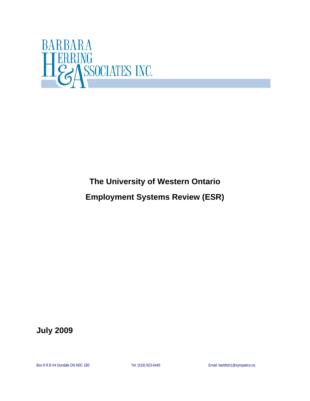

# **The University of Western Ontario**

# **Employment Systems Review (ESR)**

**July 2009**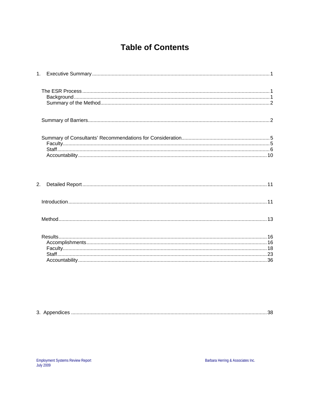# **Table of Contents**

| 2. |  |
|----|--|
|    |  |
|    |  |
|    |  |

| ູບ. |  |
|-----|--|
|-----|--|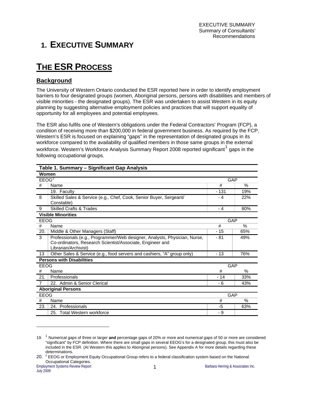# <span id="page-3-0"></span>**1. EXECUTIVE SUMMARY**

# **THE ESR PROCESS**

## **Background**

The University of Western Ontario conducted the ESR reported here in order to identify employment barriers to four designated groups (women, Aboriginal persons, persons with disabilities and members of visible minorities - the designated groups). The ESR was undertaken to assist Western in its equity planning by suggesting alternative employment policies and practices that will support equality of opportunity for all employees and potential employees.

The ESR also fulfils one of Western's obligations under the Federal Contractors' Program (FCP), a condition of receiving more than \$200,000 in federal government business. As required by the FCP, Western's ESR is focused on explaining "gaps" in the representation of designated groups in its workforce compared to the availability of qualified members in those same groups in the external workforce. Western's Workforce Analysis Summary Report 2008 reported significant<sup>[1](#page-3-1)</sup> gaps in the following occupational groups.

|                     | Table 1. Summary – Significant Gap Analysis                                                                                                                    |            |            |  |
|---------------------|----------------------------------------------------------------------------------------------------------------------------------------------------------------|------------|------------|--|
| Women               |                                                                                                                                                                |            |            |  |
| $EEO\overline{G}^2$ |                                                                                                                                                                | <b>GAP</b> |            |  |
| #                   | Name                                                                                                                                                           | #          | $\%$       |  |
|                     | 19. Faculty                                                                                                                                                    | - 131      | 19%        |  |
| 8                   | Skilled Sales & Service (e.g., Chef, Cook, Senior Buyer, Sergeant/<br>Constable)                                                                               | - 4        | 22%        |  |
| 9                   | <b>Skilled Crafts &amp; Trades</b>                                                                                                                             | - 4        | 80%        |  |
|                     | <b>Visible Minorities</b>                                                                                                                                      |            |            |  |
| <b>EEOG</b>         |                                                                                                                                                                | <b>GAP</b> |            |  |
| #                   | Name                                                                                                                                                           | #          | $\%$       |  |
| 20.                 | Middle & Other Managers (Staff)                                                                                                                                | - 15       | 65%        |  |
| 3                   | Professionals (e.g., Programmer/Web designer, Analysts, Physician, Nurse,<br>Co-ordinators, Research Scientist/Associate, Engineer and<br>Librarian/Archivist) | - 81       | 49%        |  |
| 13                  | Other Sales & Service (e.g., food servers and cashiers, "A" group only)                                                                                        | $-13$      | 76%        |  |
|                     | <b>Persons with Disabilities</b>                                                                                                                               |            |            |  |
|                     | EEOG                                                                                                                                                           |            | <b>GAP</b> |  |
| #                   | Name                                                                                                                                                           | #          | $\%$       |  |
| 21.                 | Professionals                                                                                                                                                  | $-14$      | 33%        |  |
| $\overline{7}$      | 22. Admin & Senior Clerical                                                                                                                                    | - 6        | 43%        |  |
|                     | <b>Aboriginal Persons</b>                                                                                                                                      |            |            |  |
| <b>EEOG</b>         |                                                                                                                                                                |            | GAP        |  |
| #                   | Name                                                                                                                                                           | #          | $\%$       |  |
| 23.                 | 24. Professionals                                                                                                                                              | -5         | 63%        |  |
|                     | 25. Total Western workforce                                                                                                                                    | - 9        |            |  |

<span id="page-3-1"></span><sup>19.</sup> <sup>1</sup> Numerical gaps of three or larger **and** percentage gaps of 20% or more and numerical gaps of 50 or more are considered "significant" by FCP definition. Where there are small gaps in several EEOG's for a designated group, this must also be included in the ESR. (At Western this applies to Aboriginal persons). See Appendix A for more details regarding these determinations.

<span id="page-3-2"></span><sup>20.</sup>  $2e^{2}$  EEOG or Employment Equity Occupational Group refers to a federal classification system based on the National Occupational Categories.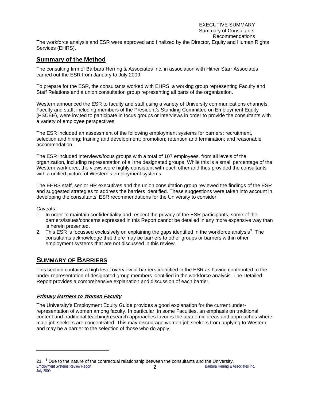#### EXECUTIVE SUMMARY Summary of Consultants' Recommendations

<span id="page-4-0"></span>The workforce analysis and ESR were approved and finalized by the Director, Equity and Human Rights Services (EHRS).

## **Summary of the Method**

The consulting firm of Barbara Herring & Associates Inc. in association with Hitner Starr Associates carried out the ESR from January to July 2009.

To prepare for the ESR, the consultants worked with EHRS, a working group representing Faculty and Staff Relations and a union consultation group representing all parts of the organization.

Western announced the ESR to faculty and staff using a variety of University communications channels. Faculty and staff, including members of the President's Standing Committee on Employment Equity (PSCEE), were invited to participate in focus groups or interviews in order to provide the consultants with a variety of employee perspectives

The ESR included an assessment of the following employment systems for barriers: recruitment, selection and hiring; training and development; promotion; retention and termination; and reasonable accommodation.

The ESR included interviews/focus groups with a total of 107 employees, from all levels of the organization, including representation of all the designated groups. While this is a small percentage of the Western workforce, the views were highly consistent with each other and thus provided the consultants with a unified picture of Western's employment systems.

The EHRS staff, senior HR executives and the union consultation group reviewed the findings of the ESR and suggested strategies to address the barriers identified. These suggestions were taken into account in developing the consultants' ESR recommendations for the University to consider.

#### Caveats:

l

- 1. In order to maintain confidentiality and respect the privacy of the ESR participants, some of the barriers/issues/concerns expressed in this Report cannot be detailed in any more expansive way than is herein presented.
- 2. This ESR is focussed exclusively on explaining the gaps identified in the workforce analysis<sup>[3](#page-4-1)</sup>. The consultants acknowledge that there may be barriers to other groups or barriers within other employment systems that are not discussed in this review.

# **SUMMARY OF BARRIERS**

This section contains a high level overview of barriers identified in the ESR as having contributed to the under-representation of designated group members identified in the workforce analysis. The Detailed Report provides a comprehensive explanation and discussion of each barrier.

#### **Primary Barriers to Women Faculty**

The University's Employment Equity Guide provides a good explanation for the current underrepresentation of women among faculty. In particular, in some Faculties, an emphasis on traditional content and traditional teaching/research approaches favours the academic areas and approaches where male job seekers are concentrated. This may discourage women job seekers from applying to Western and may be a barrier to the selection of those who do apply.

<span id="page-4-1"></span>Employment Systems Review Report **2 2** Barbara Herring & Associates Inc. 21.  $3$  Due to the nature of the contractual relationship between the consultants and the University. July 2009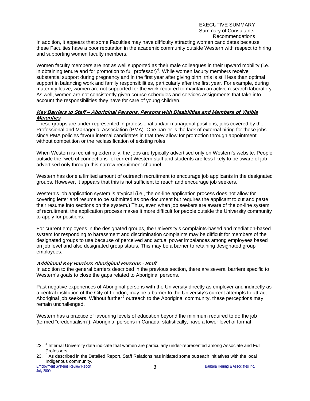In addition, it appears that some Faculties may have difficulty attracting women candidates because these Faculties have a poor reputation in the academic community outside Western with respect to hiring and supporting women faculty members.

Women faculty members are not as well supported as their male colleagues in their upward mobility (i.e., in obtaining tenure and for promotion to full professor)<sup>[4](#page-5-0)</sup>. While women faculty members receive substantial support during pregnancy and in the first year after giving birth, this is still less than optimal support in balancing work and family responsibilities, particularly after the first year. For example, during maternity leave, women are not supported for the work required to maintain an active research laboratory. As well, women are not consistently given course schedules and services assignments that take into account the responsibilities they have for care of young children.

#### **Key Barriers to Staff – Aboriginal Persons, Persons with Disabilities and Members of Visible Minorities**

These groups are under-represented in professional and/or managerial positions, jobs covered by the Professional and Managerial Association (PMA). One barrier is the lack of external hiring for these jobs since PMA policies favour internal candidates in that they allow for promotion through appointment without competition or the reclassification of existing roles.

When Western is recruiting externally, the jobs are typically advertised only on Western's website. People outside the "web of connections" of current Western staff and students are less likely to be aware of job advertised only through this narrow recruitment channel.

Western has done a limited amount of outreach recruitment to encourage job applicants in the designated groups. However, it appears that this is not sufficient to reach and encourage job seekers.

Western's job application system is atypical (i.e., the on-line application process does not allow for covering letter and resume to be submitted as one document but requires the applicant to cut and paste their resume into sections on the system.) Thus, even when job seekers are aware of the on-line system of recruitment, the application process makes it more difficult for people outside the University community to apply for positions.

For current employees in the designated groups, the University's complaints-based and mediation-based system for responding to harassment and discrimination complaints may be difficult for members of the designated groups to use because of perceived and actual power imbalances among employees based on job level and also designated group status. This may be a barrier to retaining designated group employees.

#### **Additional Key Barriers Aboriginal Persons - Staff**

In addition to the general barriers described in the previous section, there are several barriers specific to Western's goals to close the gaps related to Aboriginal persons.

Past negative experiences of Aboriginal persons with the University directly as employer and indirectly as a central institution of the City of London, may be a barrier to the University's current attempts to attract Aboriginal job seekers. Without further<sup>[5](#page-5-1)</sup> outreach to the Aboriginal community, these perceptions may remain unchallenged.

Western has a practice of favouring levels of education beyond the minimum required to do the job (termed "credentialism"). Aboriginal persons in Canada, statistically, have a lower level of formal

<span id="page-5-0"></span><sup>22. &</sup>lt;sup>4</sup> Internal University data indicate that women are particularly under-represented among Associate and Full Professors.

<span id="page-5-1"></span><sup>23. &</sup>lt;sup>5</sup> As described in the Detailed Report, Staff Relations has initiated some outreach initiatives with the local Indigenous community.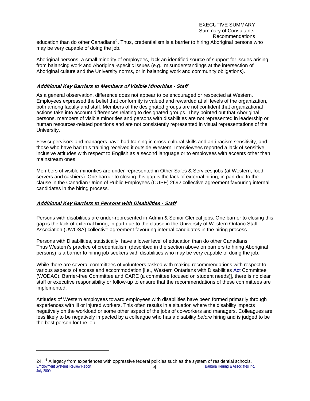#### EXECUTIVE SUMMARY Summary of Consultants' Recommendations

education than do other Canadians<sup>[6](#page-6-0)</sup>. Thus, credentialism is a barrier to hiring Aboriginal persons who may be very capable of doing the job.

Aboriginal persons, a small minority of employees, lack an identified source of support for issues arising from balancing work and Aboriginal-specific issues (e.g., misunderstandings at the intersection of Aboriginal culture and the University norms, or in balancing work and community obligations).

#### **Additional Key Barriers to Members of Visible Minorities - Staff**

As a general observation, difference does not appear to be encouraged or respected at Western. Employees expressed the belief that conformity is valued and rewarded at all levels of the organization, both among faculty and staff. Members of the designated groups are not confident that organizational actions take into account differences relating to designated groups. They pointed out that Aboriginal persons, members of visible minorities and persons with disabilities are not represented in leadership or human resources-related positions and are not consistently represented in visual representations of the University.

Few supervisors and managers have had training in cross-cultural skills and anti-racism sensitivity, and those who have had this training received it outside Western. Interviewees reported a lack of sensitive, inclusive attitudes with respect to English as a second language or to employees with accents other than mainstream ones.

Members of visible minorities are under-represented in Other Sales & Services jobs (at Western, food servers and cashiers). One barrier to closing this gap is the lack of external hiring, in part due to the clause in the Canadian Union of Public Employees (CUPE) 2692 collective agreement favouring internal candidates in the hiring process.

#### **Additional Key Barriers to Persons with Disabilities - Staff**

1

Persons with disabilities are under-represented in Admin & Senior Clerical jobs. One barrier to closing this gap is the lack of external hiring, in part due to the clause in the University of Western Ontario Staff Association (UWOSA) collective agreement favouring internal candidates in the hiring process.

Persons with Disabilities, statistically, have a lower level of education than do other Canadians. Thus Western's practice of credentialism (described in the section above on barriers to hiring Aboriginal persons) is a barrier to hiring job seekers with disabilities who may be very capable of doing the job.

While there are several committees of volunteers tasked with making recommendations with respect to various aspects of access and accommodation [i.e., Western Ontarians with Disabilities Act Committee (WODAC), Barrier-free Committee and CARE (a committee focused on student needs)], there is no clear staff or executive responsibility or follow-up to ensure that the recommendations of these committees are implemented.

Attitudes of Western employees toward employees with disabilities have been formed primarily through experiences with ill or injured workers. This often results in a situation where the disability impacts negatively on the workload or some other aspect of the jobs of co-workers and managers. Colleagues are less likely to be negatively impacted by a colleague who has a disability *before* hiring and is judged to be the best person for the job.

<span id="page-6-0"></span>Employment Systems Review Report **4 4** Barbara Herring & Associates Inc. 24. <sup>6</sup> A legacy from experiences with oppressive federal policies such as the system of residential schools. July 2009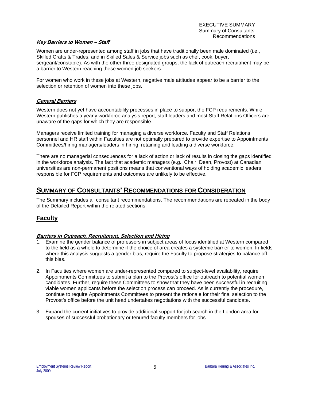#### <span id="page-7-0"></span>**Key Barriers to Women – Staff**

Women are under-represented among staff in jobs that have traditionally been male dominated (i.e., Skilled Crafts & Trades, and in Skilled Sales & Service jobs such as chef, cook, buyer, sergeant/constable). As with the other three designated groups, the lack of outreach recruitment may be a barrier to Western reaching these women job seekers.

For women who work in these jobs at Western, negative male attitudes appear to be a barrier to the selection or retention of women into these jobs.

#### **General Barriers**

Western does not yet have accountability processes in place to support the FCP requirements. While Western publishes a yearly workforce analysis report, staff leaders and most Staff Relations Officers are unaware of the gaps for which they are responsible.

Managers receive limited training for managing a diverse workforce. Faculty and Staff Relations personnel and HR staff within Faculties are not optimally prepared to provide expertise to Appointments Committees/hiring managers/leaders in hiring, retaining and leading a diverse workforce.

There are no managerial consequences for a lack of action or lack of results in closing the gaps identified in the workforce analysis. The fact that academic managers (e.g., Chair, Dean, Provost) at Canadian universities are non-permanent positions means that conventional ways of holding academic leaders responsible for FCP requirements and outcomes are unlikely to be effective.

# **SUMMARY OF CONSULTANTS' RECOMMENDATIONS FOR CONSIDERATION**

The Summary includes all consultant recommendations. The recommendations are repeated in the body of the Detailed Report within the related sections.

## **Faculty**

#### **Barriers in Outreach, Recruitment, Selection and Hiring**

- 1. Examine the gender balance of professors in subject areas of focus identified at Western compared to the field as a whole to determine if the choice of area creates a systemic barrier to women. In fields where this analysis suggests a gender bias, require the Faculty to propose strategies to balance off this bias.
- 2. In Faculties where women are under-represented compared to subject-level availability, require Appointments Committees to submit a plan to the Provost's office for outreach to potential women candidates. Further, require these Committees to show that they have been successful in recruiting viable women applicants before the selection process can proceed. As is currently the procedure, continue to require Appointments Committees to present the rationale for their final selection to the Provost's office before the unit head undertakes negotiations with the successful candidate.
- 3. Expand the current initiatives to provide additional support for job search in the London area for spouses of successful probationary or tenured faculty members for jobs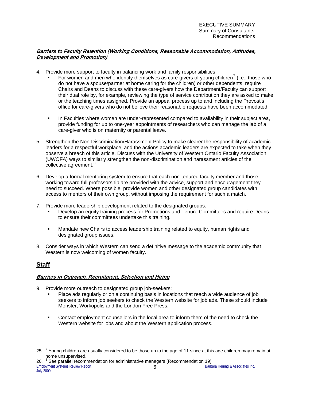### <span id="page-8-0"></span>**Barriers to Faculty Retention (Working Conditions, Reasonable Accommodation, Attitudes, Development and Promotion)**

- 4. Provide more support to faculty in balancing work and family responsibilities:
	- For women and men who identify themselves as care-givers of young children<sup>[7](#page-8-1)</sup> (i.e., those who do not have a spouse/partner at home caring for the children) or other dependents, require Chairs and Deans to discuss with these care-givers how the Department/Faculty can support their dual role by, for example, reviewing the type of service contribution they are asked to make or the teaching times assigned. Provide an appeal process up to and including the Provost's office for care-givers who do not believe their reasonable requests have been accommodated.
	- **In Faculties where women are under-represented compared to availability in their subject area,** provide funding for up to one-year appointments of researchers who can manage the lab of a care-giver who is on maternity or parental leave.
- 5. Strengthen the Non-Discrimination/Harassment Policy to make clearer the responsibility of academic leaders for a respectful workplace, and the actions academic leaders are expected to take when they observe a breach of this article. Discuss with the University of Western Ontario Faculty Association (UWOFA) ways to similarly strengthen the non-discrimination and harassment articles of the collective agreement.<sup>[8](#page-8-2)</sup>
- 6. Develop a formal mentoring system to ensure that each non-tenured faculty member and those working toward full professorship are provided with the advice, support and encouragement they need to succeed. Where possible, provide women and other designated group candidates with access to mentors of their own group, without imposing the requirement for such a match.
- 7. Provide more leadership development related to the designated groups:
	- Develop an equity training process for Promotions and Tenure Committees and require Deans to ensure their committees undertake this training.
	- Mandate new Chairs to access leadership training related to equity, human rights and designated group issues.
- 8. Consider ways in which Western can send a definitive message to the academic community that Western is now welcoming of women faculty.

## **Staff**

#### **Barriers in Outreach, Recruitment, Selection and Hiring**

- 9. Provide more outreach to designated group job-seekers:
	- Place ads regularly or on a continuing basis in locations that reach a wide audience of job seekers to inform job seekers to check the Western website for job ads. These should include Monster, Workopolis and the London Free Press.
	- **Contact employment counsellors in the local area to inform them of the need to check the** Western website for jobs and about the Western application process.

<span id="page-8-2"></span>Employment Systems Review Report 6 Barbara Herring & Associates Inc. 26. <sup>8</sup> See parallel recommendation for administrative managers (Recommendation 19)

<span id="page-8-1"></span><sup>25.</sup>  $^7$  Young children are usually considered to be those up to the age of 11 since at this age children may remain at home unsupervised.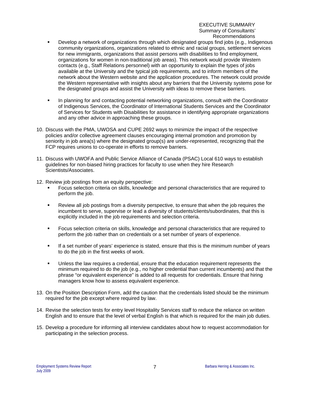#### EXECUTIVE SUMMARY Summary of Consultants' Recommendations

- Develop a network of organizations through which designated groups find jobs (e.g., Indigenous community organizations, organizations related to ethnic and racial groups, settlement services for new immigrants, organizations that assist persons with disabilities to find employment, organizations for women in non-traditional job areas). This network would provide Western contacts (e.g., Staff Relations personnel) with an opportunity to explain the types of jobs available at the University and the typical job requirements, and to inform members of the network about the Western website and the application procedures. The network could provide the Western representative with insights about any barriers that the University systems pose for the designated groups and assist the University with ideas to remove these barriers.
- In planning for and contacting potential networking organizations, consult with the Coordinator of Indigenous Services, the Coordinator of International Students Services and the Coordinator of Services for Students with Disabilities for assistance in identifying appropriate organizations and any other advice in approaching these groups.
- 10. Discuss with the PMA, UWOSA and CUPE 2692 ways to minimize the impact of the respective policies and/or collective agreement clauses encouraging internal promotion and promotion by seniority in job area(s) where the designated group(s) are under-represented, recognizing that the FCP requires unions to co-operate in efforts to remove barriers.
- 11. Discuss with UWOFA and Public Service Alliance of Canada (PSAC) Local 610 ways to establish guidelines for non-biased hiring practices for faculty to use when they hire Research Scientists/Associates.
- 12. Review job postings from an equity perspective:
	- Focus selection criteria on skills, knowledge and personal characteristics that are required to perform the job.
	- **Review all job postings from a diversity perspective, to ensure that when the job requires the** incumbent to serve, supervise or lead a diversity of students/clients/subordinates, that this is explicitly included in the job requirements and selection criteria.
	- Focus selection criteria on skills, knowledge and personal characteristics that are required to perform the job rather than on credentials or a set number of years of experience.
	- If a set number of years' experience is stated, ensure that this is the minimum number of years to do the job in the first weeks of work.
	- Unless the law requires a credential, ensure that the education requirement represents the minimum required to do the job (e.g., no higher credential than current incumbents) and that the phrase "or equivalent experience" is added to all requests for credentials. Ensure that hiring managers know how to assess equivalent experience.
- 13. On the Position Description Form, add the caution that the credentials listed should be the minimum required for the job except where required by law.
- 14. Revise the selection tests for entry level Hospitality Services staff to reduce the reliance on written English and to ensure that the level of verbal English is that which is required for the main job duties.
- 15. Develop a procedure for informing all interview candidates about how to request accommodation for participating in the selection process.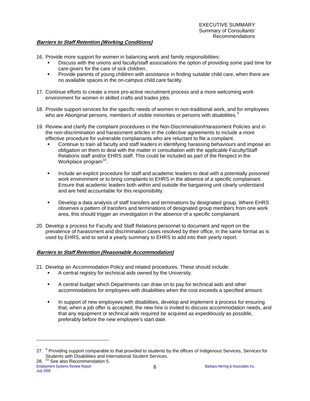### **Barriers to Staff Retention (Working Conditions)**

16. Provide more support for women in balancing work and family responsibilities:

- Discuss with the unions and faculty/staff associations the option of providing some paid time for care-givers for the care of sick children.
- **Provide parents of young children with assistance in finding suitable child care, when there are** no available spaces in the on-campus child care facility.
- 17. Continue efforts to create a more pro-active recruitment process and a more welcoming work environment for women in skilled crafts and trades jobs.
- 18. Provide support services for the specific needs of women in non-traditional work, and for employees who are Aboriginal persons, members of visible minorities or persons with disabilities. $^{\degree}$
- 19. Review and clarify the complaint procedures in the Non-Discrimination/Harassment Policies and in the non-discrimination and harassment articles in the collective agreements to include a more effective procedure for vulnerable complainants who are reluctant to file a complaint.
	- Continue to train all faculty and staff leaders in identifying harassing behaviours and impose an obligation on them to deal with the matter in consultation with the applicable Faculty/Staff Relations staff and/or EHRS staff. This could be included as part of the Respect in the Workplace program<sup>[10](#page-10-1)</sup>.
	- **Include an explicit procedure for staff and academic leaders to deal with a potentially poisoned** work environment or to bring complaints to EHRS in the absence of a specific complainant. Ensure that academic leaders both within and outside the bargaining unit clearly understand and are held accountable for this responsibility.
	- Develop a data analysis of staff transfers and terminations by designated group. Where EHRS observes a pattern of transfers and terminations of designated group members from one work area, this should trigger an investigation in the absence of a specific complainant.
- 20. Develop a process for Faculty and Staff Relations personnel to document and report on the prevalence of harassment and discrimination cases resolved by their office, in the same format as is used by EHRS, and to send a yearly summary to EHRS to add into their yearly report.

#### **Barriers to Staff Retention (Reasonable Accommodation)**

- 21. Develop an Accommodation Policy and related procedures. These should include:
	- A central registry for technical aids owned by the University.
	- A central budget which Departments can draw on to pay for technical aids and other accommodations for employees with disabilities when the cost exceeds a specified amount.
	- **IF** In support of new employees with disabilities, develop and implement a process for ensuring that, when a job offer is accepted, the new hire is invited to discuss accommodation needs, and that any equipment or technical aids required be acquired as expeditiously as possible, preferably before the new employee's start date.

<span id="page-10-1"></span><span id="page-10-0"></span><sup>27. &</sup>lt;sup>9</sup> Providing support comparable to that provided to students by the offices of Indigenous Services, Services for Students with Disabilities and International Student Services.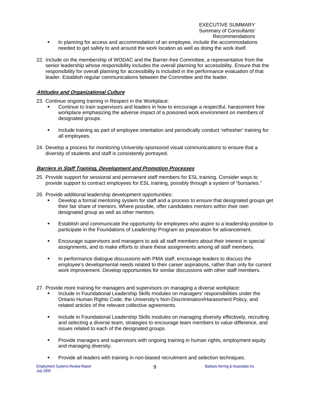22. Include on the membership of WODAC and the Barrier-free Committee, a representative from the senior leadership whose responsibility includes the overall planning for accessibility. Ensure that the responsibility for overall planning for accessibility is included in the performance evaluation of that leader. Establish regular communications between the Committee and the leader.

### **Attitudes and Organizational Culture**

23. Continue ongoing training in Respect in the Workplace:

- Continue to train supervisors and leaders in how to encourage a respectful, harassment free workplace emphasizing the adverse impact of a poisoned work environment on members of designated groups.
- **Include training as part of employee orientation and periodically conduct 'refresher' training for** all employees.
- 24. Develop a process for monitoring University-sponsored visual communications to ensure that a diversity of students and staff is consistently portrayed.

### **Barriers in Staff Training, Development and Promotion Processes**

- 25. Provide support for sessional and permanent staff members for ESL training. Consider ways to provide support to contract employees for ESL training, possibly through a system of "bursaries."
- 26. Provide additional leadership development opportunities:
	- Develop a formal mentoring system for staff and a process to ensure that designated groups get their fair share of mentors. Where possible, offer candidates mentors within their own designated group as well as other mentors.
	- **Establish and communicate the opportunity for employees who aspire to a leadership position to** participate in the Foundations of Leadership Program as preparation for advancement.
	- Encourage supervisors and managers to ask all staff members about their interest in special assignments, and to make efforts to share these assignments among all staff members.
	- **In performance dialogue discussions with PMA staff, encourage leaders to discuss the** employee's developmental needs related to their career aspirations, rather than only for current work improvement. Develop opportunities for similar discussions with other staff members.
- 27. Provide more training for managers and supervisors on managing a diverse workplace:
	- Include in Foundational Leadership Skills modules on managers' responsibilities under the Ontario Human Rights Code, the University's Non-Discrimination/Harassment Policy, and related articles of the relevant collective agreements.
	- **Include in Foundational Leadership Skills modules on managing diversity effectively, recruiting** and selecting a diverse team, strategies to encourage team members to value difference, and issues related to each of the designated groups.
	- **Provide managers and supervisors with ongoing training in human rights, employment equity** and managing diversity.
	- **Provide all leaders with training in non-biased recruitment and selection techniques.**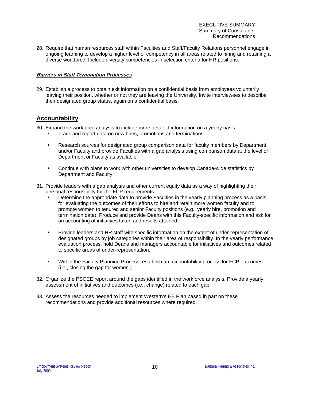EXECUTIVE SUMMARY Summary of Consultants' Recommendations

<span id="page-12-0"></span>28. Require that human resources staff within Faculties and Staff/Faculty Relations personnel engage in ongoing learning to develop a higher level of competency in all areas related to hiring and retaining a diverse workforce. Include diversity competencies in selection criteria for HR positions.

#### **Barriers in Staff Termination Processes**

29. Establish a process to obtain exit information on a confidential basis from employees voluntarily leaving their position, whether or not they are leaving the University. Invite interviewees to describe their designated group status, again on a confidential basis.

## **Accountability**

30. Expand the workforce analysis to include more detailed information on a yearly basis:

- Track and report data on new hires, promotions and terminations.
- **Research sources for designated group comparison data for faculty members by Department** and/or Faculty and provide Faculties with a gap analysis using comparison data at the level of Department or Faculty as available.
- Continue with plans to work with other universities to develop Canada-wide statistics by Department and Faculty.
- 31. Provide leaders with a gap analysis and other current equity data as a way of highlighting their personal responsibility for the FCP requirements.
	- Determine the appropriate data to provide Faculties in the yearly planning process as a basis for evaluating the outcomes of their efforts to hire and retain more women faculty and to promote women to tenured and senior Faculty positions (e.g., yearly hire, promotion and termination data). Produce and provide Deans with this Faculty-specific information and ask for an accounting of initiatives taken and results attained.
	- **Provide leaders and HR staff with specific information on the extent of under-representation of** designated groups by job categories within their area of responsibility. In the yearly performance evaluation process, hold Deans and managers accountable for initiatives and outcomes related to specific areas of under-representation.
	- Within the Faculty Planning Process, establish an accountability process for FCP outcomes (i.e., closing the gap for women.)
- 32. Organize the PSCEE report around the gaps identified in the workforce analysis. Provide a yearly assessment of initiatives and outcomes (i.e., change) related to each gap.
- 33. Assess the resources needed to implement Western's EE Plan based in part on these recommendations and provide additional resources where required.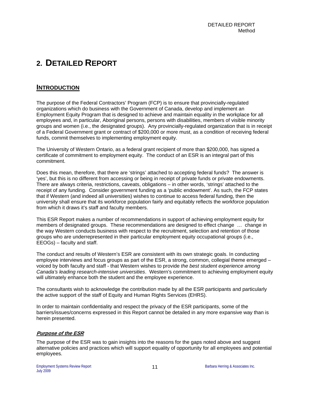# <span id="page-13-0"></span>**2. DETAILED REPORT**

## **INTRODUCTION**

The purpose of the Federal Contractors' Program (FCP) is to ensure that provincially-regulated organizations which do business with the Government of Canada, develop and implement an Employment Equity Program that is designed to achieve and maintain equality in the workplace for all employees and, in particular, Aboriginal persons, persons with disabilities, members of visible minority groups and women (i.e., the designated groups). Any provincially-regulated organization that is in receipt of a Federal Government grant or contract of \$200,000 or more must, as a condition of receiving federal funds, commit themselves to implementing employment equity.

The University of Western Ontario, as a federal grant recipient of more than \$200,000, has signed a certificate of commitment to employment equity. The conduct of an ESR is an integral part of this commitment.

Does this mean, therefore, that there are 'strings' attached to accepting federal funds? The answer is 'yes', but this is no different from accessing or being in receipt of private funds or private endowments. There are always criteria, restrictions, caveats, obligations – in other words, 'strings' attached to the receipt of any funding. Consider government funding as a 'public endowment'. As such, the FCP states that if Western (and indeed all universities) wishes to continue to access federal funding, then the university shall ensure that its workforce population fairly and equitably reflects the workforce population from which it draws it's staff and faculty members.

This ESR Report makes a number of recommendations in support of achieving employment equity for members of designated groups. These recommendations are designed to effect change … change in the way Western conducts business with respect to the recruitment, selection and retention of those groups who are underrepresented in their particular employment equity occupational groups (i.e., EEOGs) – faculty and staff.

The conduct and results of Western's ESR are consistent with its own strategic goals. In conducting employee interviews and focus groups as part of the ESR, a strong, common, collegial theme emerged – voiced by both faculty and staff - that Western wishes to provide *the best student experience among Canada's leading research-intensive universities*. Western's commitment to achieving employment equity will ultimately enhance both the student and the employee experience.

The consultants wish to acknowledge the contribution made by all the ESR participants and particularly the active support of the staff of Equity and Human Rights Services (EHRS).

In order to maintain confidentiality and respect the privacy of the ESR participants, some of the barriers/issues/concerns expressed in this Report cannot be detailed in any more expansive way than is herein presented.

#### **Purpose of the ESR**

The purpose of the ESR was to gain insights into the reasons for the gaps noted above and suggest alternative policies and practices which will support equality of opportunity for all employees and potential employees.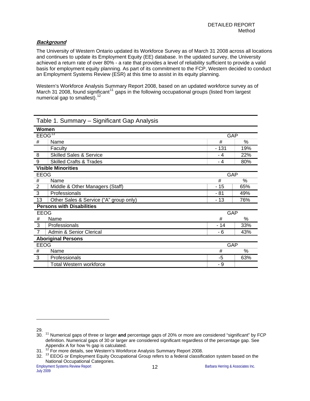### **Background**

The University of Western Ontario updated its Workforce Survey as of March 31 2008 across all locations and continues to update its Employment Equity (EE) database. In the updated survey, the University achieved a return rate of over 80% - a rate that provides a level of reliability sufficient to provide a valid basis for employment equity planning. As part of its commitment to the FCP, Western decided to conduct an Employment Systems Review (ESR) at this time to assist in its equity planning.

Western's Workforce Analysis Summary Report 2008, based on an updated workforce survey as of March 31 2008, found significant<sup>[11](#page-14-0)</sup> gaps in the following occupational groups (listed from largest numerical gap to smallest).<sup>[12](#page-14-1)</sup>

|                    | Table 1. Summary – Significant Gap Analysis |        |     |  |  |  |  |  |
|--------------------|---------------------------------------------|--------|-----|--|--|--|--|--|
| Women              |                                             |        |     |  |  |  |  |  |
| EEOG <sup>13</sup> |                                             | GAP    |     |  |  |  |  |  |
| #                  | Name                                        | #      | %   |  |  |  |  |  |
|                    | Faculty                                     | $-131$ | 19% |  |  |  |  |  |
| 8                  | <b>Skilled Sales &amp; Service</b>          | - 4    | 22% |  |  |  |  |  |
| 9                  | <b>Skilled Crafts &amp; Trades</b>          | - 4    | 80% |  |  |  |  |  |
|                    | <b>Visible Minorities</b>                   |        |     |  |  |  |  |  |
| <b>EEOG</b>        |                                             | GAP    |     |  |  |  |  |  |
| $\#$               | Name                                        | #      | %   |  |  |  |  |  |
| $\overline{2}$     | Middle & Other Managers (Staff)             | $-15$  | 65% |  |  |  |  |  |
| 3                  | Professionals                               | - 81   | 49% |  |  |  |  |  |
| 13                 | Other Sales & Service ("A" group only)      | - 13   | 76% |  |  |  |  |  |
|                    | <b>Persons with Disabilities</b>            |        |     |  |  |  |  |  |
| EEOG               |                                             | GAP    |     |  |  |  |  |  |
| #                  | Name                                        | #      | %   |  |  |  |  |  |
| 3                  | Professionals                               | - 14   | 33% |  |  |  |  |  |
| $\overline{7}$     | Admin & Senior Clerical                     | - 6    | 43% |  |  |  |  |  |
|                    | <b>Aboriginal Persons</b>                   |        |     |  |  |  |  |  |
| <b>EEOG</b>        |                                             | GAP    |     |  |  |  |  |  |
| #                  | Name                                        | #      | %   |  |  |  |  |  |
| 3                  | Professionals                               | -5     | 63% |  |  |  |  |  |
|                    | <b>Total Western workforce</b>              | - 9    |     |  |  |  |  |  |

Table 1. Summary – Significant Gap Analysis

<span id="page-14-0"></span><sup>29.</sup> 

<sup>30.</sup> 11 Numerical gaps of three or larger **and** percentage gaps of 20% or more are considered "significant" by FCP definition. Numerical gaps of 30 or larger are considered significant regardless of the percentage gap. See Appendix A for how % gap is calculated.

<span id="page-14-1"></span><sup>31. &</sup>lt;sup>12</sup> For more details, see Western's Workforce Analysis Summary Report 2008.

<span id="page-14-2"></span><sup>32. &</sup>lt;sup>13</sup> EEOG or Employment Equity Occupational Group refers to a federal classification system based on the National Occupational Categories.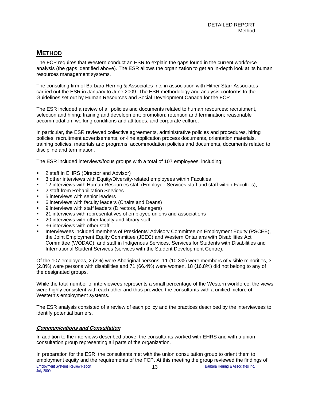# <span id="page-15-0"></span>**METHOD**

The FCP requires that Western conduct an ESR to explain the gaps found in the current workforce analysis (the gaps identified above). The ESR allows the organization to get an in-depth look at its human resources management systems.

The consulting firm of Barbara Herring & Associates Inc. in association with Hitner Starr Associates carried out the ESR in January to June 2009. The ESR methodology and analysis conforms to the Guidelines set out by Human Resources and Social Development Canada for the FCP.

The ESR included a review of all policies and documents related to human resources: recruitment, selection and hiring; training and development; promotion; retention and termination; reasonable accommodation; working conditions and attitudes; and corporate culture.

In particular, the ESR reviewed collective agreements, administrative policies and procedures, hiring policies, recruitment advertisements, on-line application process documents, orientation materials, training policies, materials and programs, accommodation policies and documents, documents related to discipline and termination.

The ESR included interviews/focus groups with a total of 107 employees, including:

- 2 staff in EHRS (Director and Advisor)
- 3 other interviews with Equity/Diversity-related employees within Faculties
- 12 interviews with Human Resources staff (Employee Services staff and staff within Faculties),
- 2 staff from Rehabilitation Services
- 5 interviews with senior leaders
- 6 interviews with faculty leaders (Chairs and Deans)
- 9 interviews with staff leaders (Directors, Managers)
- 21 interviews with representatives of employee unions and associations
- 20 interviews with other faculty and library staff
- 36 interviews with other staff.
- Interviewees included members of Presidents' Advisory Committee on Employment Equity (PSCEE), the Joint Employment Equity Committee (JEEC) and Western Ontarians with Disabilities Act Committee (WODAC), and staff in Indigenous Services, Services for Students with Disabilities and International Student Services (services with the Student Development Centre).

Of the 107 employees, 2 (2%) were Aboriginal persons, 11 (10.3%) were members of visible minorities, 3 (2.8%) were persons with disabilities and 71 (66.4%) were women. 18 (16.8%) did not belong to any of the designated groups.

While the total number of interviewees represents a small percentage of the Western workforce, the views were highly consistent with each other and thus provided the consultants with a unified picture of Western's employment systems.

The ESR analysis consisted of a review of each policy and the practices described by the interviewees to identify potential barriers.

#### **Communications and Consultation**

In addition to the interviews described above, the consultants worked with EHRS and with a union consultation group representing all parts of the organization.

Employment Systems Review Report **13 13** Barbara Herring & Associates Inc. In preparation for the ESR, the consultants met with the union consultation group to orient them to employment equity and the requirements of the FCP. At this meeting the group reviewed the findings of July 2009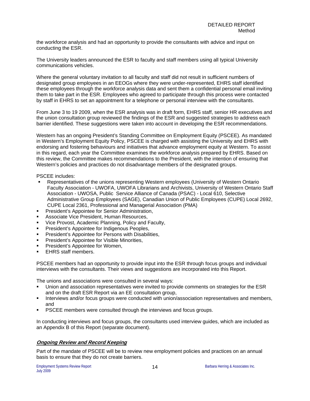the workforce analysis and had an opportunity to provide the consultants with advice and input on conducting the ESR.

The University leaders announced the ESR to faculty and staff members using all typical University communications vehicles.

Where the general voluntary invitation to all faculty and staff did not result in sufficient numbers of designated group employees in an EEOGs where they were under-represented, EHRS staff identified these employees through the workforce analysis data and sent them a confidential personal email inviting them to take part in the ESR. Employees who agreed to participate through this process were contacted by staff in EHRS to set an appointment for a telephone or personal interview with the consultants.

From June 3 to 19 2009, when the ESR analysis was in draft form, EHRS staff, senior HR executives and the union consultation group reviewed the findings of the ESR and suggested strategies to address each barrier identified. These suggestions were taken into account in developing the ESR recommendations.

Western has an ongoing President's Standing Committee on Employment Equity (PSCEE). As mandated in Western's Employment Equity Policy, PSCEE is charged with assisting the University and EHRS with endorsing and fostering behaviours and initiatives that advance employment equity at Western. To assist in this regard, each year the Committee examines the workforce analysis prepared by EHRS. Based on this review, the Committee makes recommendations to the President, with the intention of ensuring that Western's policies and practices do not disadvantage members of the designated groups.

PSCEE includes:

- Representatives of the unions representing Western employees (University of Western Ontario Faculty Association - UWOFA, UWOFA Librarians and Archivists, University of Western Ontario Staff Association - UWOSA, Public Service Alliance of Canada (PSAC) - Local 610, Selective Administrative Group Employees (SAGE), Canadian Union of Public Employees (CUPE) Local 2692, CUPE Local 2361, Professional and Managerial Association (PMA)
- President's Appointee for Senior Administration,
- Associate Vice President, Human Resources,
- Vice Provost, Academic Planning, Policy and Faculty,
- President's Appointee for Indigenous Peoples,
- President's Appointee for Persons with Disabilities,
- President's Appointee for Visible Minorities,
- President's Appointee for Women,
- EHRS staff members.

PSCEE members had an opportunity to provide input into the ESR through focus groups and individual interviews with the consultants. Their views and suggestions are incorporated into this Report.

The unions and associations were consulted in several ways:

- Union and association representatives were invited to provide comments on strategies for the ESR and on the draft ESR Report via an EE consultation group,
- Interviews and/or focus groups were conducted with union/association representatives and members, and
- PSCEE members were consulted through the interviews and focus groups.

In conducting interviews and focus groups, the consultants used interview guides, which are included as an Appendix B of this Report (separate document).

#### **Ongoing Review and Record Keeping**

Part of the mandate of PSCEE will be to review new employment policies and practices on an annual basis to ensure that they do not create barriers.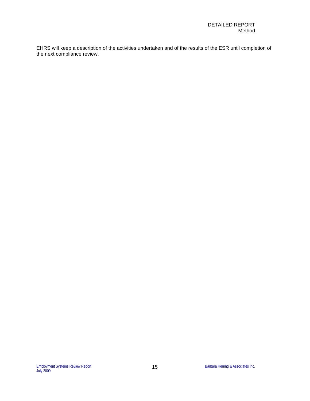EHRS will keep a description of the activities undertaken and of the results of the ESR until completion of the next compliance review.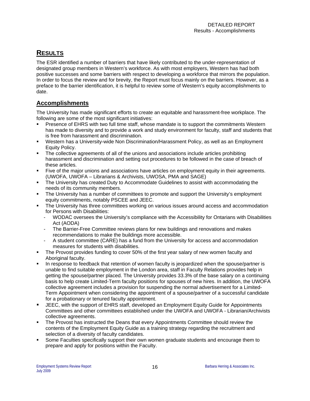# <span id="page-18-0"></span>**RESULTS**

The ESR identified a number of barriers that have likely contributed to the under-representation of designated group members in Western's workforce. As with most employers, Western has had both positive successes and some barriers with respect to developing a workforce that mirrors the population. In order to focus the review and for brevity, the Report must focus mainly on the barriers. However, as a preface to the barrier identification, it is helpful to review some of Western's equity accomplishments to date.

# **Accomplishments**

The University has made significant efforts to create an equitable and harassment-free workplace. The following are some of the most significant initiatives:

- Presence of EHRS with two full time staff, whose mandate is to support the commitments Western has made to diversity and to provide a work and study environment for faculty, staff and students that is free from harassment and discrimination.
- Western has a University-wide Non Discrimination/Harassment Policy, as well as an Employment Equity Policy.
- The collective agreements of all of the unions and associations include articles prohibiting harassment and discrimination and setting out procedures to be followed in the case of breach of these articles.
- Five of the major unions and associations have articles on employment equity in their agreements. (UWOFA, UWOFA – Librarians & Archivists, UWOSA, PMA and SAGE)
- The University has created Duty to Accommodate Guidelines to assist with accommodating the needs of its community members.
- The University has a number of committees to promote and support the University's employment equity commitments, notably PSCEE and JEEC.
- The University has three committees working on various issues around access and accommodation for Persons with Disabilities:
	- WODAC oversees the University's compliance with the Accessibility for Ontarians with Disabilities Act (AODA)
	- The Barrier-Free Committee reviews plans for new buildings and renovations and makes recommendations to make the buildings more accessible.
	- A student committee (CARE) has a fund from the University for access and accommodation measures for students with disabilities.
- The Provost provides funding to cover 50% of the first year salary of new women faculty and Aboriginal faculty.
- In response to feedback that retention of women faculty is jeopardized when the spouse/partner is unable to find suitable employment in the London area, staff in Faculty Relations provides help in getting the spouse/partner placed. The University provides 33.3% of the base salary on a continuing basis to help create Limited-Term faculty positions for spouses of new hires. In addition, the UWOFA collective agreement includes a provision for suspending the normal advertisement for a Limited-Term Appointment when considering the appointment of a spouse/partner of a successful candidate for a probationary or tenured faculty appointment.
- JEEC, with the support of EHRS staff, developed an Employment Equity Guide for Appointments Committees and other committees established under the UWOFA and UWOFA - Librarian/Archivists collective agreements.
- **The Provost has instructed the Deans that every Appointments Committee should review the** contents of the Employment Equity Guide as a training strategy regarding the recruitment and selection of a diversity of faculty candidates.
- Some Faculties specifically support their own women graduate students and encourage them to prepare and apply for positions within the Faculty.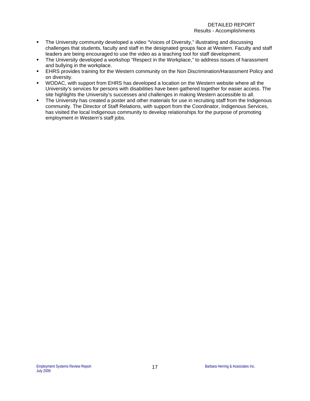- The University community developed a video "Voices of Diversity," illustrating and discussing challenges that students, faculty and staff in the designated groups face at Western. Faculty and staff leaders are being encouraged to use the video as a teaching tool for staff development.
- The University developed a workshop "Respect in the Workplace," to address issues of harassment and bullying in the workplace.
- EHRS provides training for the Western community on the Non Discrimination/Harassment Policy and on diversity.
- WODAC, with support from EHRS has developed a location on the Western website where all the University's services for persons with disabilities have been gathered together for easier access. The site highlights the University's successes and challenges in making Western accessible to all.
- The University has created a poster and other materials for use in recruiting staff from the Indigenous community. The Director of Staff Relations, with support from the Coordinator, Indigenous Services, has visited the local Indigenous community to develop relationships for the purpose of promoting employment in Western's staff jobs.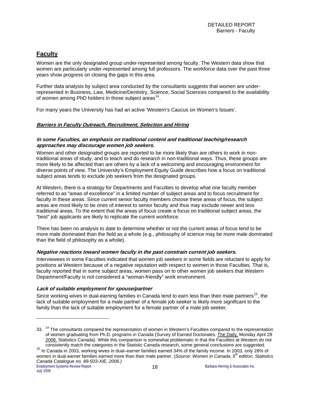# <span id="page-20-0"></span>**Faculty**

Women are the only designated group under-represented among faculty. The Western data show that women are particularly under-represented among full professors. The workforce data over the past three years show progress on closing the gaps in this area.

Further data analysis by subject area conducted by the consultants suggests that women are underrepresented in Business, Law, Medicine/Dentistry, Science, Social Sciences compared to the availability of women among PhD holders in those subject areas<sup>[14](#page-20-1)</sup>.

For many years the University has had an active 'Western's Caucus on Women's Issues'.

#### **Barriers in Faculty Outreach, Recruitment, Selection and Hiring**

#### **In some Faculties, an emphasis on traditional content and traditional teaching/research approaches may discourage women job seekers.**

Women and other designated groups are reported to be more likely than are others to work in nontraditional areas of study, and to teach and do research in non-traditional ways. Thus, these groups are more likely to be affected than are others by a lack of a welcoming and encouraging environment for diverse points of view. The University's Employment Equity Guide describes how a focus on traditional subject areas tends to exclude job seekers from the designated groups.

At Western, there is a strategy for Departments and Faculties to develop what one faculty member referred to as "areas of excellence" in a limited number of subject areas and to focus recruitment for faculty in these areas. Since current senior faculty members choose these areas of focus, the subject areas are most likely to be ones of interest to senior faculty and thus may exclude newer and less traditional areas. To the extent that the areas of focus create a focus on traditional subject areas, the "best" job applicants are likely to replicate the current workforce.

There has been no analysis to date to determine whether or not the current areas of focus tend to be more male dominated than the field as a whole (e.g., philosophy of science may be more male dominated than the field of philosophy as a whole).

#### **Negative reactions toward women faculty in the past constrain current job seekers.**

Interviewees in some Faculties indicated that women job seekers in some fields are reluctant to apply for positions at Western because of a negative reputation with respect to women in those Faculties. That is, faculty reported that in some subject areas, women pass on to other women job seekers that Western Department/Faculty is not considered a "woman-friendly" work environment.

#### **Lack of suitable employment for spouse/partner**

Since working wives in dual-earning families in Canada tend to earn less than their male partners<sup>[15](#page-20-2)</sup>, the lack of suitable employment for a male partner of a female job seeker is likely more significant to the family than the lack of suitable employment for a female partner of a male job seeker.

1

<span id="page-20-1"></span><sup>33. &</sup>lt;sup>14</sup> The consultants compared the representation of women in Western's Faculties compared to the representation of women graduating from Ph.D. programs in Canada (Survey of Earned Doctorates. The Daily, Monday April 28 2008, Statistics Canada). While this comparison is somewhat problematic in that the Faculties at Western do not consistently match the categories in the Statistic Canada research, some general conclusions are suggested.

<span id="page-20-2"></span>Employment Systems Review Report **18 18** Barbara Herring & Associates Inc. 15 In Canada in 2003, working wives in dual–earner families earned 34% of the family income. In 2003, only 28% of women in dual-earner families earned more than their male partner. (*Source: Women in Canada, 5th edition, Statistics Canada Catalogue no. 89-503-XIE, 2006.)*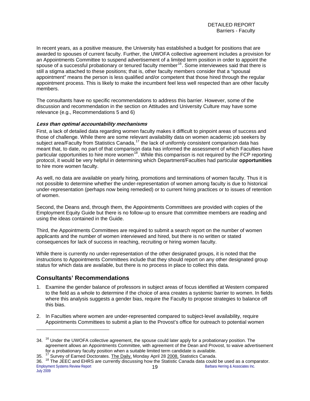In recent years, as a positive measure, the University has established a budget for positions that are awarded to spouses of current faculty. Further, the UWOFA collective agreement includes a provision for an Appointments Committee to suspend advertisement of a limited term position in order to appoint the spouse of a successful probationary or tenured faculty member<sup>[16](#page-21-0)</sup>. Some interviewees said that there is still a stigma attached to these positions; that is, other faculty members consider that a "spousal appointment" means the person is less qualified and/or competent that those hired through the regular appointment process. This is likely to make the incumbent feel less well respected than are other faculty members.

The consultants have no specific recommendations to address this barrier. However, some of the discussion and recommendation in the section on Attitudes and University Culture may have some relevance (e.g., Recommendations 5 and 6)

#### **Less than optimal accountability mechanisms**

First, a lack of detailed data regarding women faculty makes it difficult to pinpoint areas of success and those of challenge. While there are some relevant availability data on women academic job seekers by subject area/Faculty from Statistics Canada,<sup>[17](#page-21-1)</sup> the lack of uniformly consistent comparison data has meant that, to date, no part of that comparison data has informed the assessment of which Faculties have particular opportunities to hire more women<sup>[18](#page-21-2)</sup>. While this comparison is not required by the FCP reporting protocol, it would be very helpful in determining which Department/Faculties had particular **opportunities** to hire more women faculty.

As well, no data are available on yearly hiring, promotions and terminations of women faculty. Thus it is not possible to determine whether the under-representation of women among faculty is due to historical under-representation (perhaps now being remedied) or to current hiring practices or to issues of retention of women.

Second, the Deans and, through them, the Appointments Committees are provided with copies of the Employment Equity Guide but there is no follow-up to ensure that committee members are reading and using the ideas contained in the Guide.

Third, the Appointments Committees are required to submit a search report on the number of women applicants and the number of women interviewed and hired, but there is no written or stated consequences for lack of success in reaching, recruiting or hiring women faculty.

While there is currently no under-representation of the other designated groups, it is noted that the instructions to Appointments Committees include that they should report on any other designated group status for which data are available, but there is no process in place to collect this data.

## **Consultants' Recommendations**

- 1. Examine the gender balance of professors in subject areas of focus identified at Western compared to the field as a whole to determine if the choice of area creates a systemic barrier to women. In fields where this analysis suggests a gender bias, require the Faculty to propose strategies to balance off this bias.
- 2. In Faculties where women are under-represented compared to subject-level availability, require Appointments Committees to submit a plan to the Provost's office for outreach to potential women

<span id="page-21-0"></span><sup>34. &</sup>lt;sup>16</sup> Under the UWOFA collective agreement, the spouse could later apply for a probationary position. The agreement allows an Appointments Committee, with agreement of the Dean and Provost, to waive advertisement for a probationary faculty position when a suitable limited term candidate is available.

<span id="page-21-1"></span><sup>35. &</sup>lt;sup>17</sup> Survey of Earned Doctorates. The Daily, Monday April 28 2008, Statistics Canada.

<span id="page-21-2"></span>Employment Systems Review Report **19** Barbara Herring & Associates Inc. 36. <sup>18</sup> The JEEC and EHRS are currently discussing how the Statistic Canada data could be used as a comparator.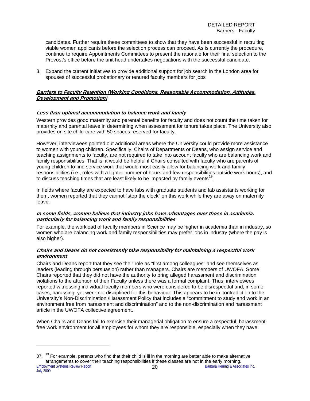candidates. Further require these committees to show that they have been successful in recruiting viable women applicants before the selection process can proceed. As is currently the procedure, continue to require Appointments Committees to present the rationale for their final selection to the Provost's office before the unit head undertakes negotiations with the successful candidate.

3. Expand the current initiatives to provide additional support for job search in the London area for spouses of successful probationary or tenured faculty members for jobs

#### **Barriers to Faculty Retention (Working Conditions, Reasonable Accommodation, Attitudes, Development and Promotion)**

#### **Less than optimal accommodation to balance work and family**

Western provides good maternity and parental benefits for faculty and does not count the time taken for maternity and parental leave in determining when assessment for tenure takes place. The University also provides on site child-care with 50 spaces reserved for faculty.

However, interviewees pointed out additional areas where the University could provide more assistance to women with young children. Specifically, Chairs of Departments or Deans, who assign service and teaching assignments to faculty, are not required to take into account faculty who are balancing work and family responsibilities. That is, it would be helpful if Chairs consulted with faculty who are parents of young children to find service work that would most easily allow for balancing work and family responsibilities (i.e., roles with a lighter number of hours and few responsibilities outside work hours), and to discuss teaching times that are least likely to be impacted by family events<sup>[19](#page-22-0)</sup>.

In fields where faculty are expected to have labs with graduate students and lab assistants working for them, women reported that they cannot "stop the clock" on this work while they are away on maternity leave.

#### **In some fields, women believe that industry jobs have advantages over those in academia, particularly for balancing work and family responsibilities**

For example, the workload of faculty members in Science may be higher in academia than in industry, so women who are balancing work and family responsibilities may prefer jobs in industry (where the pay is also higher).

#### **Chairs and Deans do not consistently take responsibility for maintaining a respectful work environment**

Chairs and Deans report that they see their role as "first among colleagues" and see themselves as leaders (leading through persuasion) rather than managers. Chairs are members of UWOFA. Some Chairs reported that they did not have the authority to bring alleged harassment and discrimination violations to the attention of their Faculty unless there was a formal complaint. Thus, interviewees reported witnessing individual faculty members who were considered to be disrespectful and, in some cases, harassing, yet were not disciplined for this behaviour. This appears to be in contradiction to the University's Non-Discrimination /Harassment Policy that includes a "commitment to study and work in an environment free from harassment and discrimination" and to the non-discrimination and harassment article in the UWOFA collective agreement.

When Chairs and Deans fail to exercise their managerial obligation to ensure a respectful, harassmentfree work environment for all employees for whom they are responsible, especially when they have

<span id="page-22-0"></span>Employment Systems Review Report **20 20** Barbara Herring & Associates Inc.  $37.$  <sup>19</sup> For example, parents who find that their child is ill in the morning are better able to make alternative arrangements to cover their teaching responsibilities if these classes are not in the early morning.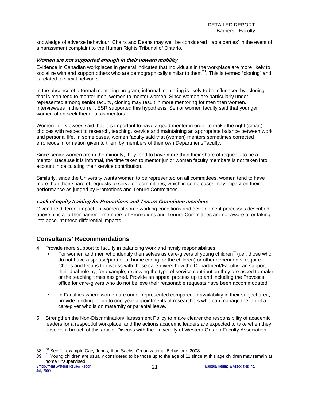knowledge of adverse behaviour, Chairs and Deans may well be considered 'liable parties' in the event of a harassment complaint to the Human Rights Tribunal of Ontario.

#### **Women are not supported enough in their upward mobility**

Evidence in Canadian workplaces in general indicates that individuals in the workplace are more likely to socialize with and support others who are demographically similar to them<sup>[20](#page-23-0)</sup>. This is termed "cloning" and is related to social networks.

In the absence of a formal mentoring program, informal mentoring is likely to be influenced by "cloning" – that is men tend to mentor men, women to mentor women. Since women are particularly underrepresented among senior faculty, cloning may result in more mentoring for men than women. Interviewees in the current ESR supported this hypothesis. Senior women faculty said that younger women often seek them out as mentors.

Women interviewees said that it is important to have a good mentor in order to make the right (smart) choices with respect to research, teaching, service and maintaining an appropriate balance between work and personal life. In some cases, women faculty said that (women) mentors sometimes corrected erroneous information given to them by members of their own Department/Faculty.

Since senior women are in the minority, they tend to have more than their share of requests to be a mentor. Because it is informal, the time taken to mentor junior women faculty members is not taken into account in calculating their service contribution.

Similarly, since the University wants women to be represented on all committees, women tend to have more than their share of requests to serve on committees, which in some cases may impact on their performance as judged by Promotions and Tenure Committees.

#### **Lack of equity training for Promotions and Tenure Committee members**

Given the different impact on women of some working conditions and development processes described above, it is a further barrier if members of Promotions and Tenure Committees are not aware of or taking into account these differential impacts.

## **Consultants' Recommendations**

- 4. Provide more support to faculty in balancing work and family responsibilities:
	- For women and men who identify themselves as care-givers of young children<sup>[21](#page-23-1)</sup> (i.e., those who do not have a spouse/partner at home caring for the children) or other dependents, require Chairs and Deans to discuss with these care-givers how the Department/Faculty can support their dual role by, for example, reviewing the type of service contribution they are asked to make or the teaching times assigned. Provide an appeal process up to and including the Provost's office for care-givers who do not believe their reasonable requests have been accommodated.
	- **In Faculties where women are under-represented compared to availability in their subject area,** provide funding for up to one-year appointments of researchers who can manage the lab of a care-giver who is on maternity or parental leave.
- 5. Strengthen the Non-Discrimination/Harassment Policy to make clearer the responsibility of academic leaders for a respectful workplace, and the actions academic leaders are expected to take when they observe a breach of this article. Discuss with the University of Western Ontario Faculty Association

<span id="page-23-0"></span><sup>38. &</sup>lt;sup>20</sup> See for example Gary Johns, Alan Sachs. Organizational Behaviour. 2008.

<span id="page-23-1"></span><sup>39.</sup>  $^{21}$  Young children are usually considered to be those up to the age of 11 since at this age children may remain at home unsupervised.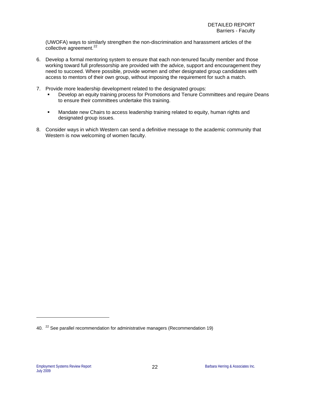(UWOFA) ways to similarly strengthen the non-discrimination and harassment articles of the collective agreement.<sup>[22](#page-24-0)</sup>

- 6. Develop a formal mentoring system to ensure that each non-tenured faculty member and those working toward full professorship are provided with the advice, support and encouragement they need to succeed. Where possible, provide women and other designated group candidates with access to mentors of their own group, without imposing the requirement for such a match.
- 7. Provide more leadership development related to the designated groups:
	- Develop an equity training process for Promotions and Tenure Committees and require Deans to ensure their committees undertake this training.
	- Mandate new Chairs to access leadership training related to equity, human rights and designated group issues.
- 8. Consider ways in which Western can send a definitive message to the academic community that Western is now welcoming of women faculty.

<span id="page-24-0"></span><sup>40. &</sup>lt;sup>22</sup> See parallel recommendation for administrative managers (Recommendation 19)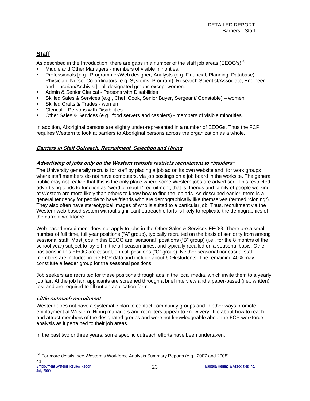# <span id="page-25-0"></span>**Staff**

As described in the Introduction, there are gaps in a number of the staff job areas (EEOG's)<sup>[23](#page-25-1)</sup>:

- Middle and Other Managers members of visible minorities.
- Professionals [e.g., Programmer/Web designer, Analysts (e.g. Financial, Planning, Database), Physician, Nurse, Co-ordinators (e.g. Systems, Program), Research Scientist/Associate, Engineer and Librarian/Archivist] - all designated groups except women.
- Admin & Senior Clerical Persons with Disabilities
- Skilled Sales & Services (e.g., Chef, Cook, Senior Buyer, Sergeant/ Constable) women
- Skilled Crafts & Trades women
- Clerical Persons with Disabilities
- Other Sales & Services (e.g., food servers and cashiers) members of visible minorities.

In addition, Aboriginal persons are slightly under-represented in a number of EEOGs. Thus the FCP requires Western to look at barriers to Aboriginal persons across the organization as a whole.

#### **Barriers in Staff Outreach, Recruitment, Selection and Hiring**

#### **Advertising of jobs only on the Western website restricts recruitment to "insiders"**

The University generally recruits for staff by placing a job ad on its own website and, for work groups where staff members do not have computers, via job postings on a job board in the worksite. The general public may not realize that this is the only place where some Western jobs are advertised. This restricted advertising tends to function as "word of mouth" recruitment; that is, friends and family of people working at Western are more likely than others to know how to find the job ads. As described earlier, there is a general tendency for people to have friends who are demographically like themselves (termed "cloning"). They also often have stereotypical images of who is suited to a particular job. Thus, recruitment via the Western web-based system without significant outreach efforts is likely to replicate the demographics of the current workforce.

Web-based recruitment does not apply to jobs in the Other Sales & Services EEOG. There are a small number of full time, full year positions ("A" group), typically recruited on the basis of seniority from among sessional staff. Most jobs in this EEOG are "seasonal" positions ("B" group) (i.e., for the 8 months of the school year) subject to lay-off in the off-season times, and typically recalled on a seasonal basis. Other positions in this EEOG are casual, on-call positions ("C" group). Neither seasonal nor casual staff members are included in the FCP data and include about 60% students. The remaining 40% may constitute a feeder group for the seasonal positions.

Job seekers are recruited for these positions through ads in the local media, which invite them to a yearly job fair. At the job fair, applicants are screened through a brief interview and a paper-based (i.e., written) test and are required to fill out an application form.

#### **Little outreach recruitment**

Western does not have a systematic plan to contact community groups and in other ways promote employment at Western. Hiring managers and recruiters appear to know very little about how to reach and attract members of the designated groups and were not knowledgeable about the FCP workforce analysis as it pertained to their job areas.

In the past two or three years, some specific outreach efforts have been undertaken:

<span id="page-25-1"></span> $^{23}$  For more details, see Western's Workforce Analysis Summary Reports (e.g., 2007 and 2008) 41.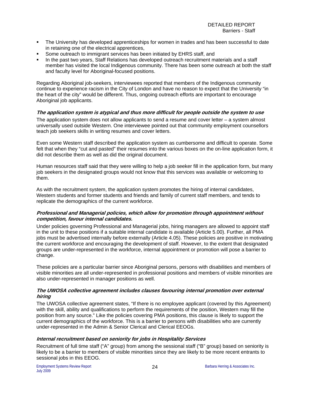- The University has developed apprenticeships for women in trades and has been successful to date in retaining one of the electrical apprentices,
- Some outreach to immigrant services has been initiated by EHRS staff, and
- In the past two years, Staff Relations has developed outreach recruitment materials and a staff member has visited the local Indigenous community. There has been some outreach at both the staff and faculty level for Aboriginal-focused positions.

Regarding Aboriginal job-seekers, interviewees reported that members of the Indigenous community continue to experience racism in the City of London and have no reason to expect that the University "in the heart of the city" would be different. Thus, ongoing outreach efforts are important to encourage Aboriginal job applicants.

#### **The application system is atypical and thus more difficult for people outside the system to use**

The application system does not allow applicants to send a resume and cover letter – a system almost universally used outside Western. One interviewee pointed out that community employment counsellors teach job seekers skills in writing resumes and cover letters.

Even some Western staff described the application system as cumbersome and difficult to operate. Some felt that when they "cut and pasted" their resumes into the various boxes on the on-line application form, it did not describe them as well as did the original document.

Human resources staff said that they were willing to help a job seeker fill in the application form, but many job seekers in the designated groups would not know that this services was available or welcoming to them.

As with the recruitment system, the application system promotes the hiring of internal candidates, Western students and former students and friends and family of current staff members, and tends to replicate the demographics of the current workforce.

#### **Professional and Managerial policies, which allow for promotion through appointment without competition, favour internal candidates.**

Under policies governing Professional and Managerial jobs, hiring managers are allowed to appoint staff in the unit to these positions if a suitable internal candidate is available (Article 5.00). Further, all PMA jobs must be advertised internally before externally (Article 4.05). These policies are positive in motivating the current workforce and encouraging the development of staff. However, to the extent that designated groups are under-represented in the workforce, internal appointment or promotion will pose a barrier to change.

These policies are a particular barrier since Aboriginal persons, persons with disabilities and members of visible minorities are all under-represented in professional positions and members of visible minorities are also under-represented in manager positions as well.

#### **The UWOSA collective agreement includes clauses favouring internal promotion over external hiring**

The UWOSA collective agreement states, "If there is no employee applicant (covered by this Agreement) with the skill, ability and qualifications to perform the requirements of the position, Western may fill the position from any source." Like the policies covering PMA positions, this clause is likely to support the current demographics of the workforce. This is a barrier to persons with disabilities who are currently under-represented in the Admin & Senior Clerical and Clerical EEOGs.

#### **Internal recruitment based on seniority for jobs in Hospitality Services**

Recruitment of full time staff ("A" group) from among the sessional staff ("B" group) based on seniority is likely to be a barrier to members of visible minorities since they are likely to be more recent entrants to sessional jobs in this EEOG.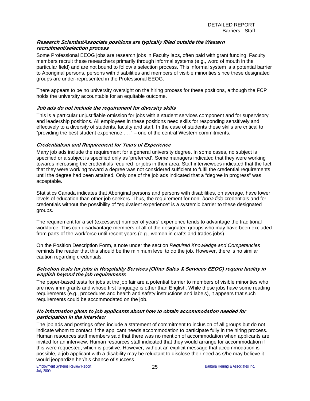#### **Research Scientist/Associate positions are typically filled outside the Western recruitment/selection process**

Some Professional EEOG jobs are research jobs in Faculty labs, often paid with grant funding. Faculty members recruit these researchers primarily through informal systems (e.g., word of mouth in the particular field) and are not bound to follow a selection process. This informal system is a potential barrier to Aboriginal persons, persons with disabilities and members of visible minorities since these designated groups are under-represented in the Professional EEOG.

There appears to be no university oversight on the hiring process for these positions, although the FCP holds the university accountable for an equitable outcome.

#### **Job ads do not include the requirement for diversity skills**

This is a particular unjustifiable omission for jobs with a student services component and for supervisory and leadership positions. All employees in these positions need skills for responding sensitively and effectively to a diversity of students, faculty and staff. In the case of students these skills are critical to "providing the best student experience . . ." – one of the central Western commitments.

#### **Credentialism and Requirement for Years of Experience**

Many job ads include the requirement for a general university degree. In some cases, no subject is specified or a subject is specified only as 'preferred'. Some managers indicated that they were working towards increasing the credentials required for jobs in their area. Staff interviewees indicated that the fact that they were working toward a degree was not considered sufficient to fulfil the credential requirements until the degree had been attained. Only one of the job ads indicated that a "degree in progress" was acceptable.

Statistics Canada indicates that Aboriginal persons and persons with disabilities, on average, have lower levels of education than other job seekers. Thus, the requirement for non- *bona fide* credentials and for credentials without the possibility of "equivalent experience" is a systemic barrier to these designated groups.

The requirement for a set (excessive) number of years' experience tends to advantage the traditional workforce. This can disadvantage members of all of the designated groups who may have been excluded from parts of the workforce until recent years (e.g., women in crafts and trades jobs).

On the Position Description Form, a note under the section *Required Knowledge and Competencies* reminds the reader that this should be the minimum level to do the job. However, there is no similar caution regarding credentials.

#### **Selection tests for jobs in Hospitality Services (Other Sales & Services EEOG) require facility in English beyond the job requirements**

The paper-based tests for jobs at the job fair are a potential barrier to members of visible minorities who are new immigrants and whose first language is other than English. While these jobs have some reading requirements (e.g., procedures and health and safety instructions and labels), it appears that such requirements could be accommodated on the job.

#### **No information given to job applicants about how to obtain accommodation needed for participation in the interview**

The job ads and postings often include a statement of commitment to inclusion of all groups but do not indicate whom to contact if the applicant needs accommodation to participate fully in the hiring process. Human resources staff members said that there was no mention of accommodation when applicants are invited for an interview. Human resources staff indicated that they would arrange for accommodation if this were requested, which is positive. However, without an explicit message that accommodation is possible, a job applicant with a disability may be reluctant to disclose their need as s/he may believe it would jeopardize her/his chance of success.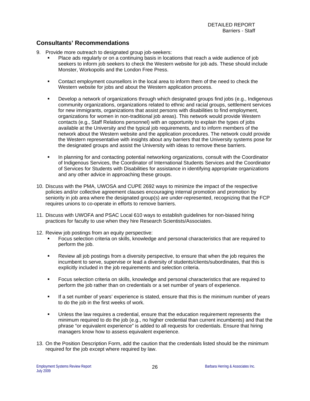## **Consultants' Recommendations**

- 9. Provide more outreach to designated group job-seekers:
	- Place ads regularly or on a continuing basis in locations that reach a wide audience of job seekers to inform job seekers to check the Western website for job ads. These should include Monster, Workopolis and the London Free Press.
	- Contact employment counsellors in the local area to inform them of the need to check the Western website for jobs and about the Western application process.
	- Develop a network of organizations through which designated groups find jobs (e.g., Indigenous community organizations, organizations related to ethnic and racial groups, settlement services for new immigrants, organizations that assist persons with disabilities to find employment, organizations for women in non-traditional job areas). This network would provide Western contacts (e.g., Staff Relations personnel) with an opportunity to explain the types of jobs available at the University and the typical job requirements, and to inform members of the network about the Western website and the application procedures. The network could provide the Western representative with insights about any barriers that the University systems pose for the designated groups and assist the University with ideas to remove these barriers.
	- In planning for and contacting potential networking organizations, consult with the Coordinator of Indigenous Services, the Coordinator of International Students Services and the Coordinator of Services for Students with Disabilities for assistance in identifying appropriate organizations and any other advice in approaching these groups.
- 10. Discuss with the PMA, UWOSA and CUPE 2692 ways to minimize the impact of the respective policies and/or collective agreement clauses encouraging internal promotion and promotion by seniority in job area where the designated group(s) are under-represented, recognizing that the FCP requires unions to co-operate in efforts to remove barriers.
- 11. Discuss with UWOFA and PSAC Local 610 ways to establish guidelines for non-biased hiring practices for faculty to use when they hire Research Scientists/Associates.
- 12. Review job postings from an equity perspective:
	- Focus selection criteria on skills, knowledge and personal characteristics that are required to perform the job.
	- **Review all job postings from a diversity perspective, to ensure that when the job requires the** incumbent to serve, supervise or lead a diversity of students/clients/subordinates, that this is explicitly included in the job requirements and selection criteria.
	- Focus selection criteria on skills, knowledge and personal characteristics that are required to perform the job rather than on credentials or a set number of years of experience.
	- If a set number of years' experience is stated, ensure that this is the minimum number of years to do the job in the first weeks of work.
	- Unless the law requires a credential, ensure that the education requirement represents the minimum required to do the job (e.g., no higher credential than current incumbents) and that the phrase "or equivalent experience" is added to all requests for credentials. Ensure that hiring managers know how to assess equivalent experience.
- 13. On the Position Description Form, add the caution that the credentials listed should be the minimum required for the job except where required by law.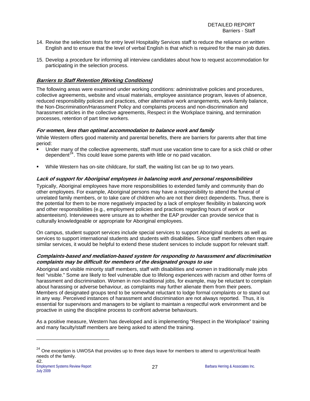- 14. Revise the selection tests for entry level Hospitality Services staff to reduce the reliance on written English and to ensure that the level of verbal English is that which is required for the main job duties.
- 15. Develop a procedure for informing all interview candidates about how to request accommodation for participating in the selection process.

#### **Barriers to Staff Retention (Working Conditions)**

The following areas were examined under working conditions: administrative policies and procedures, collective agreements, website and visual materials, employee assistance program, leaves of absence, reduced responsibility policies and practices, other alternative work arrangements, work-family balance, the Non-Discrimination/Harassment Policy and complaints process and non-discrimination and harassment articles in the collective agreements, Respect in the Workplace training, and termination processes, retention of part time workers.

#### **For women, less than optimal accommodation to balance work and family**

While Western offers good maternity and parental benefits, there are barriers for parents after that time period:

- Under many of the collective agreements, staff must use vacation time to care for a sick child or other dependent<sup> $24$ </sup>. This could leave some parents with little or no paid vacation.
- While Western has on-site childcare, for staff, the waiting list can be up to two years.

#### **Lack of support for Aboriginal employees in balancing work and personal responsibilities**

Typically, Aboriginal employees have more responsibilities to extended family and community than do other employees. For example, Aboriginal persons may have a responsibility to attend the funeral of unrelated family members, or to take care of children who are not their direct dependents. Thus, there is the potential for them to be more negatively impacted by a lack of employer flexibility in balancing work and other responsibilities (e.g., employment policies and practices regarding hours of work or absenteeism). Interviewees were unsure as to whether the EAP provider can provide service that is culturally knowledgeable or appropriate for Aboriginal employees.

On campus, student support services include special services to support Aboriginal students as well as services to support international students and students with disabilities. Since staff members often require similar services, it would be helpful to extend these student services to include support for relevant staff.

#### **Complaints-based and mediation-based system for responding to harassment and discrimination complaints may be difficult for members of the designated groups to use**

Aboriginal and visible minority staff members, staff with disabilities and women in traditionally male jobs feel "visible." Some are likely to feel vulnerable due to lifelong experiences with racism and other forms of harassment and discrimination. Women in non-traditional jobs, for example, may be reluctant to complain about harassing or adverse behaviour, as complaints may further alienate them from their peers. Members of designated groups tend to be somewhat reluctant to lodge formal complaints or to stand out in any way. Perceived instances of harassment and discrimination are not always reported. Thus, it is essential for supervisors and managers to be vigilant to maintain a respectful work environment and be proactive in using the discipline process to confront adverse behaviours.

As a positive measure, Western has developed and is implementing "Respect in the Workplace" training and many faculty/staff members are being asked to attend the training.

<span id="page-29-0"></span><sup>&</sup>lt;sup>24</sup> One exception is UWOSA that provides up to three days leave for members to attend to urgent/critical health needs of the family. 42.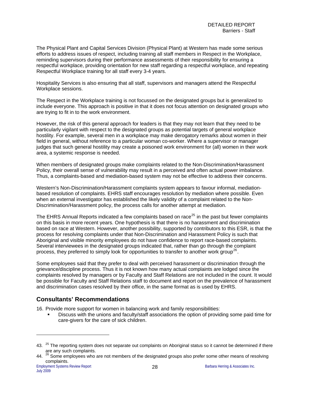The Physical Plant and Capital Services Division (Physical Plant) at Western has made some serious efforts to address issues of respect, including training all staff members in Respect in the Workplace, reminding supervisors during their performance assessments of their responsibility for ensuring a respectful workplace, providing orientation for new staff regarding a respectful workplace, and repeating Respectful Workplace training for all staff every 3-4 years.

Hospitality Services is also ensuring that all staff, supervisors and managers attend the Respectful Workplace sessions.

The Respect in the Workplace training is not focussed on the designated groups but is generalized to include everyone. This approach is positive in that it does not focus attention on designated groups who are trying to fit in to the work environment.

However, the risk of this general approach for leaders is that they may not learn that they need to be particularly vigilant with respect to the designated groups as potential targets of general workplace hostility. For example, several men in a workplace may make derogatory remarks about women in their field in general, without reference to a particular woman co-worker. Where a supervisor or manager judges that such general hostility may create a poisoned work environment for (all) women in their work area, a systemic response is needed.

When members of designated groups make complaints related to the Non-Discrimination/Harassment Policy, their overall sense of vulnerability may result in a perceived and often actual power imbalance. Thus, a complaints-based and mediation-based system may not be effective to address their concerns.

Western's Non-Discrimination/Harassment complaints system appears to favour informal, mediationbased resolution of complaints. EHRS staff encourages resolution by mediation where possible. Even when an external investigator has established the likely validity of a complaint related to the Non-Discrimination/Harassment policy, the process calls for another attempt at mediation.

The EHRS Annual Reports indicated a few complaints based on race<sup>[25](#page-30-0)</sup> in the past but fewer complaints on this basis in more recent years. One hypothesis is that there is no harassment and discrimination based on race at Western. However, another possibility, supported by contributors to this ESR, is that the process for resolving complaints under that Non-Discrimination and Harassment Policy is such that Aboriginal and visible minority employees do not have confidence to report race-based complaints. Several interviewees in the designated groups indicated that, rather than go through the complaint process, they preferred to simply look for opportunities to transfer to another work group<sup>[26](#page-30-1)</sup>.

Some employees said that they prefer to deal with perceived harassment or discrimination through the grievance/discipline process. Thus it is not known how many actual complaints are lodged since the complaints resolved by managers or by Faculty and Staff Relations are not included in the count. It would be possible for Faculty and Staff Relations staff to document and report on the prevalence of harassment and discrimination cases resolved by their office, in the same format as is used by EHRS.

## **Consultants' Recommendations**

16. Provide more support for women in balancing work and family responsibilities:

 Discuss with the unions and faculty/staff associations the option of providing some paid time for care-givers for the care of sick children.

<span id="page-30-0"></span><sup>43.</sup>  $^{25}$  The reporting system does not separate out complaints on Aboriginal status so it cannot be determined if there are any such complaints.

<span id="page-30-1"></span><sup>44.</sup>  $^{26}$  Some employees who are not members of the designated groups also prefer some other means of resolving complaints.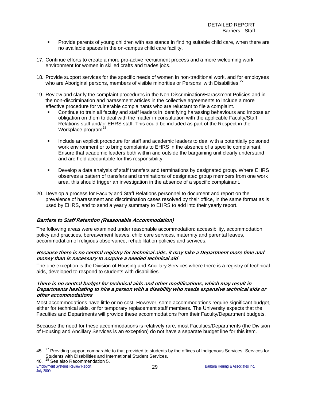- Provide parents of young children with assistance in finding suitable child care, when there are no available spaces in the on-campus child care facility.
- 17. Continue efforts to create a more pro-active recruitment process and a more welcoming work environment for women in skilled crafts and trades jobs.
- 18. Provide support services for the specific needs of women in non-traditional work, and for employees who are Aboriginal persons, members of visible minorities or Persons with Disabilities.<sup>[27](#page-31-0)</sup>
- 19. Review and clarify the complaint procedures in the Non-Discrimination/Harassment Policies and in the non-discrimination and harassment articles in the collective agreements to include a more effective procedure for vulnerable complainants who are reluctant to file a complaint.
	- Continue to train all faculty and staff leaders in identifying harassing behaviours and impose an obligation on them to deal with the matter in consultation with the applicable Faculty/Staff Relations staff and/or EHRS staff. This could be included as part of the Respect in the Workplace program $^{28}$  $^{28}$  $^{28}$ .
	- **Include an explicit procedure for staff and academic leaders to deal with a potentially poisoned** work environment or to bring complaints to EHRS in the absence of a specific complainant. Ensure that academic leaders both within and outside the bargaining unit clearly understand and are held accountable for this responsibility.
	- Develop a data analysis of staff transfers and terminations by designated group. Where EHRS observes a pattern of transfers and terminations of designated group members from one work area, this should trigger an investigation in the absence of a specific complainant.
- 20. Develop a process for Faculty and Staff Relations personnel to document and report on the prevalence of harassment and discrimination cases resolved by their office, in the same format as is used by EHRS, and to send a yearly summary to EHRS to add into their yearly report.

#### **Barriers to Staff Retention (Reasonable Accommodation)**

The following areas were examined under reasonable accommodation: accessibility, accommodation policy and practices, bereavement leaves, child care services, maternity and parental leaves, accommodation of religious observance, rehabilitation policies and services.

#### **Because there is no central registry for technical aids, it may take a Department more time and money than is necessary to acquire a needed technical aid**

The one exception is the Division of Housing and Ancillary Services where there is a registry of technical aids, developed to respond to students with disabilities.

#### **There is no central budget for technical aids and other modifications, which may result in Departments hesitating to hire a person with a disability who needs expensive technical aids or other accommodations**

Most accommodations have little or no cost. However, some accommodations require significant budget, either for technical aids, or for temporary replacement staff members. The University expects that the Faculties and Departments will provide these accommodations from their Faculty/Department budgets.

Because the need for these accommodations is relatively rare, most Faculties/Departments (the Division of Housing and Ancillary Services is an exception) do not have a separate budget line for this item.

<span id="page-31-1"></span><span id="page-31-0"></span><sup>45. &</sup>lt;sup>27</sup> Providing support comparable to that provided to students by the offices of Indigenous Services, Services for Students with Disabilities and International Student Services.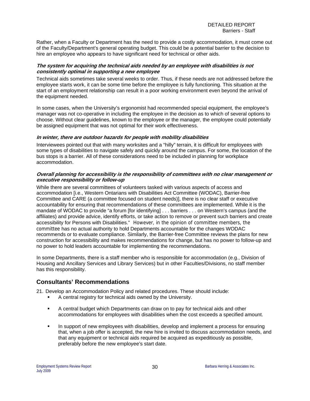Rather, when a Faculty or Department has the need to provide a costly accommodation, it must come out of the Faculty/Department's general operating budget. This could be a potential barrier to the decision to hire an employee who appears to have significant need for technical or other aids.

#### **The system for acquiring the technical aids needed by an employee with disabilities is not consistently optimal in supporting a new employee**

Technical aids sometimes take several weeks to order. Thus, if these needs are not addressed before the employee starts work, it can be some time before the employee is fully functioning. This situation at the start of an employment relationship can result in a poor working environment even beyond the arrival of the equipment needed.

In some cases, when the University's ergonomist had recommended special equipment, the employee's manager was not co-operative in including the employee in the decision as to which of several options to choose. Without clear guidelines, known to the employee or the manager, the employee could potentially be assigned equipment that was not optimal for their work effectiveness.

#### **In winter, there are outdoor hazards for people with mobility disabilities**

Interviewees pointed out that with many worksites and a "hilly" terrain, it is difficult for employees with some types of disabilities to navigate safely and quickly around the campus. For some, the location of the bus stops is a barrier. All of these considerations need to be included in planning for workplace accommodation.

#### **Overall planning for accessibility is the responsibility of committees with no clear management or executive responsibility or follow-up**

While there are several committees of volunteers tasked with various aspects of access and accommodation [i.e., Western Ontarians with Disabilities Act Committee (WODAC), Barrier-free Committee and CARE (a committee focused on student needs)], there is no clear staff or executive accountability for ensuring that recommendations of these committees are implemented. While it is the mandate of WODAC to provide "a forum [for identifying] . . . barriers . . . on Western's campus (and the affiliates) and provide advice, identify efforts, or take action to remove or prevent such barriers and create accessibility for Persons with Disabilities." However, in the opinion of committee members, the committee has no actual authority to hold Departments accountable for the changes WODAC recommends or to evaluate compliance. Similarly, the Barrier-free Committee reviews the plans for new construction for accessibility and makes recommendations for change, but has no power to follow-up and no power to hold leaders accountable for implementing the recommendations.

In some Departments, there is a staff member who is responsible for accommodation (e.g., Division of Housing and Ancillary Services and Library Services) but in other Faculties/Divisions, no staff member has this responsibility.

## **Consultants' Recommendations**

21. Develop an Accommodation Policy and related procedures. These should include:

- A central registry for technical aids owned by the University.
- A central budget which Departments can draw on to pay for technical aids and other accommodations for employees with disabilities when the cost exceeds a specified amount.
- In support of new employees with disabilities, develop and implement a process for ensuring that, when a job offer is accepted, the new hire is invited to discuss accommodation needs, and that any equipment or technical aids required be acquired as expeditiously as possible, preferably before the new employee's start date.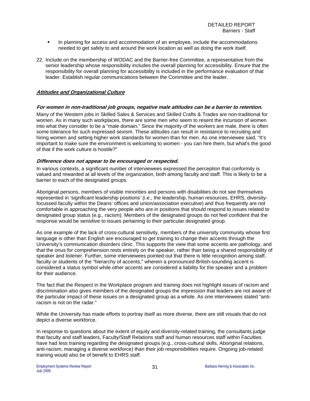- In planning for access and accommodation of an employee, include the accommodations needed to get safely to and around the work location as well as doing the work itself.
- 22. Include on the membership of WODAC and the Barrier-free Committee, a representative from the senior leadership whose responsibility includes the overall planning for accessibility. Ensure that the responsibility for overall planning for accessibility is included in the performance evaluation of that leader. Establish regular communications between the Committee and the leader.

#### **Attitudes and Organizational Culture**

#### **For women in non-traditional job groups, negative male attitudes can be a barrier to retention.**

Many of the Western jobs in Skilled Sales & Services and Skilled Crafts & Trades are non-traditional for women. As in many such workplaces, there are some men who seem to resent the incursion of women into what they consider to be a "male domain." Since the majority of the workers are male, there is often some tolerance for such expressed sexism. These attitudes can result in resistance to recruiting and hiring women and setting higher work standards for women than for men. As one interviewee said, "It's important to make sure the environment is welcoming to women - you can hire them, but what's the good of that if the work culture is hostile?"

#### **Difference does not appear to be encouraged or respected.**

In various contexts, a significant number of interviewees expressed the perception that conformity is valued and rewarded at all levels of the organization, both among faculty and staff. This is likely to be a barrier to each of the designated groups.

Aboriginal persons, members of visible minorities and persons with disabilities do not see themselves represented in 'significant leadership positions' (i.e., the leadership, human resources, EHRS, diversityfocussed faculty within the Deans' offices and union/association executive) and thus frequently are not comfortable in approaching the very people who are in positions that should respond to issues related to designated group status (e.g., racism). Members of the designated groups do not feel confident that the response would be sensitive to issues pertaining to their particular designated group.

As one example of the lack of cross-cultural sensitivity, members of the university community whose first language is other than English are encouraged to get training to change their accents through the University's communication disorders clinic. This supports the view that some accents are pathology, and that the onus for comprehension rests entirely on the speaker, rather than being a shared responsibility of speaker and listener. Further, some interviewees pointed out that there is little recognition among staff, faculty or students of the "hierarchy of accents," wherein a pronounced British-sounding accent is considered a status symbol while other accents are considered a liability for the speaker and a problem for their audience.

The fact that the Respect in the Workplace program and training does not highlight issues of racism and discrimination also gives members of the designated groups the impression that leaders are not aware of the particular impact of these issues on a designated group as a whole. As one interviewees stated "antiracism is not on the radar."

While the University has made efforts to portray itself as more diverse, there are still visuals that do not depict a diverse workforce.

In response to questions about the extent of equity and diversity-related training, the consultants judge that faculty and staff leaders, Faculty/Staff Relations staff and human resources staff within Faculties have had less training regarding the designated groups (e.g., cross-cultural skills, Aboriginal relations, anti-racism, managing a diverse workforce) than their job responsibilities require. Ongoing job-related training would also be of benefit to EHRS staff.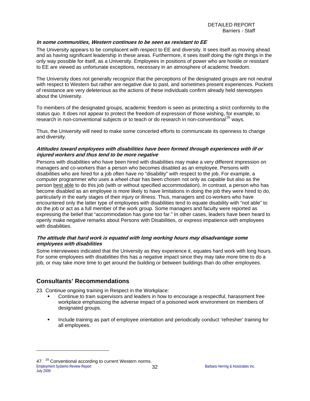#### **In some communities, Western continues to be seen as resistant to EE**

The University appears to be complacent with respect to EE and diversity. It sees itself as moving ahead and as having significant leadership in these areas. Furthermore, it sees itself doing the right things in the only way possible for itself, as a University. Employees in positions of power who are hostile or resistant to EE are viewed as unfortunate exceptions, necessary in an atmosphere of academic freedom.

The University does not generally recognize that the perceptions of the designated groups are not neutral with respect to Western but rather are negative due to past, and sometimes present experiences. Pockets of resistance are very deleterious as the actions of these individuals confirm already held stereotypes about the University.

To members of the designated groups, academic freedom is seen as protecting a strict conformity to the status quo. It does not appear to protect the freedom of expression of those wishing, for example, to research in non-conventional subjects or to teach or do research in non-conventional<sup>[29](#page-34-0)</sup> ways.

Thus, the University will need to make some concerted efforts to communicate its openness to change and diversity.

#### **Attitudes toward employees with disabilities have been formed through experiences with ill or injured workers and thus tend to be more negative**

Persons with disabilities who have been hired with disabilities may make a very different impression on managers and co-workers than a person who becomes disabled as an employee. Persons with disabilities who are hired for a job often have no "disability" with respect to the job. For example, a computer programmer who uses a wheel chair has been chosen not only as capable but also as the person best able to do this job (with or without specified accommodation). In contrast, a person who has become disabled as an employee is more likely to have limitations in doing the job they were hired to do, particularly in the early stages of their injury or illness. Thus, managers and co-workers who have encountered only the latter type of employees with disabilities tend to equate disability with "not able" to do the job or act as a full member of the work group. Some managers and faculty were reported as expressing the belief that "accommodation has gone too far." In other cases, leaders have been heard to openly make negative remarks about Persons with Disabilities, or express impatience with employees with disabilities.

#### **The attitude that hard work is equated with long working hours may disadvantage some employees with disabilities**

Some interviewees indicated that the University as they experience it, equates hard work with long hours. For some employees with disabilities this has a negative impact since they may take more time to do a job, or may take more time to get around the building or between buildings than do other employees.

## **Consultants' Recommendations**

l

23. Continue ongoing training in Respect in the Workplace:

- Continue to train supervisors and leaders in how to encourage a respectful, harassment free workplace emphasizing the adverse impact of a poisoned work environment on members of designated groups.
- **Include training as part of employee orientation and periodically conduct 'refresher' training for** all employees.

<span id="page-34-0"></span>Employment Systems Review Report **32 Barbara Herring & Associates Inc.** 47. <sup>29</sup> Conventional according to current Western norms. July 2009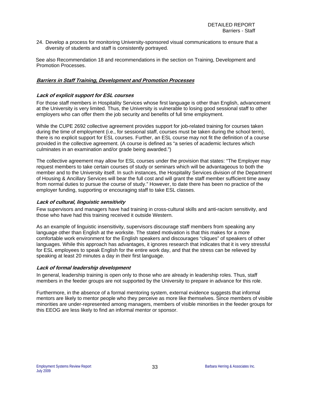24. Develop a process for monitoring University-sponsored visual communications to ensure that a diversity of students and staff is consistently portrayed.

 See also Recommendation 18 and recommendations in the section on Training, Development and Promotion Processes.

#### **Barriers in Staff Training, Development and Promotion Processes**

#### **Lack of explicit support for ESL courses**

For those staff members in Hospitality Services whose first language is other than English, advancement at the University is very limited. Thus, the University is vulnerable to losing good sessional staff to other employers who can offer them the job security and benefits of full time employment.

While the CUPE 2692 collective agreement provides support for job-related training for courses taken during the time of employment (i.e., for sessional staff, courses must be taken during the school term), there is no explicit support for ESL courses. Further, an ESL course may not fit the definition of a course provided in the collective agreement. (A course is defined as "a series of academic lectures which culminates in an examination and/or grade being awarded.")

The collective agreement may allow for ESL courses under the provision that states: "The Employer may request members to take certain courses of study or seminars which will be advantageous to both the member and to the University itself. In such instances, the Hospitality Services division of the Department of Housing & Ancillary Services will bear the full cost and will grant the staff member sufficient time away from normal duties to pursue the course of study." However, to date there has been no practice of the employer funding, supporting or encouraging staff to take ESL classes.

#### **Lack of cultural, linguistic sensitivity**

Few supervisors and managers have had training in cross-cultural skills and anti-racism sensitivity, and those who have had this training received it outside Western.

As an example of linguistic insensitivity, supervisors discourage staff members from speaking any language other than English at the worksite. The stated motivation is that this makes for a more comfortable work environment for the English speakers and discourages "cliques" of speakers of other languages. While this approach has advantages, it ignores research that indicates that it is very stressful for ESL employees to speak English for the entire work day, and that the stress can be relieved by speaking at least 20 minutes a day in their first language.

#### **Lack of formal leadership development**

In general, leadership training is open only to those who are already in leadership roles. Thus, staff members in the feeder groups are not supported by the University to prepare in advance for this role.

Furthermore, in the absence of a formal mentoring system, external evidence suggests that informal mentors are likely to mentor people who they perceive as more like themselves. Since members of visible minorities are under-represented among managers, members of visible minorities in the feeder groups for this EEOG are less likely to find an informal mentor or sponsor.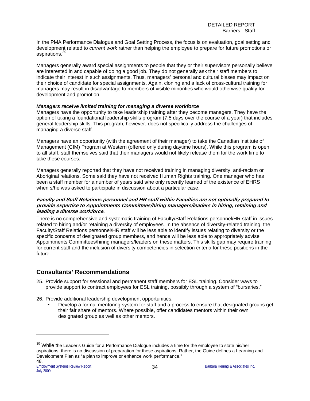In the PMA Performance Dialogue and Goal Setting Process, the focus is on evaluation, goal setting and development related to *current work* rather than helping the employee to prepare for future promotions or aspirations.<sup>[30](#page-36-0)</sup>

Managers generally award special assignments to people that they or their supervisors personally believe are interested in and capable of doing a good job. They do not generally ask their staff members to indicate their interest in such assignments. Thus, managers' personal and cultural biases may impact on their choice of candidate for special assignments. Again, cloning and a lack of cross-cultural training for managers may result in disadvantage to members of visible minorities who would otherwise qualify for development and promotion.

### *Managers receive limited training for managing a diverse workforce*

Managers have the opportunity to take leadership training after they become managers. They have the option of taking a foundational leadership skills program (7.5 days over the course of a year) that includes general leadership skills. This program, however, does not specifically address the challenges of managing a diverse staff.

Managers have an opportunity (with the agreement of their manager) to take the Canadian Institute of Management (CIM) Program at Western (offered only during daytime hours). While this program is open to all staff, staff themselves said that their managers would not likely release them for the work time to take these courses.

Managers generally reported that they have not received training in managing diversity, anti-racism or Aboriginal relations. Some said they have not received Human Rights training. One manager who has been a staff member for a number of years said s/he only recently learned of the existence of EHRS when s/he was asked to participate in discussion about a particular case.

### **Faculty and Staff Relations personnel and HR staff within Faculties are not optimally prepared to provide expertise to Appointments Committees/hiring managers/leaders in hiring, retaining and leading a diverse workforce.**

There is no comprehensive and systematic training of Faculty/Staff Relations personnel/HR staff in issues related to hiring and/or retaining a diversity of employees. In the absence of diversity-related training, the Faculty/Staff Relations personnel/HR staff will be less able to identify issues relating to diversity or the specific concerns of designated group members, and hence will be less able to appropriately advise Appointments Committees/hiring managers/leaders on these matters. This skills gap may require training for current staff and the inclusion of diversity competencies in selection criteria for these positions in the future.

# **Consultants' Recommendations**

- 25. Provide support for sessional and permanent staff members for ESL training. Consider ways to provide support to contract employees for ESL training, possibly through a system of "bursaries."
- 26. Provide additional leadership development opportunities:
	- Develop a formal mentoring system for staff and a process to ensure that designated groups get their fair share of mentors. Where possible, offer candidates mentors within their own designated group as well as other mentors.

l

<span id="page-36-0"></span><sup>&</sup>lt;sup>30</sup> While the Leader's Guide for a Performance Dialogue includes a time for the employee to state his/her aspirations, there is no discussion of preparation for these aspirations. Rather, the Guide defines a Learning and Development Plan as "a plan to improve or enhance work performance." 48.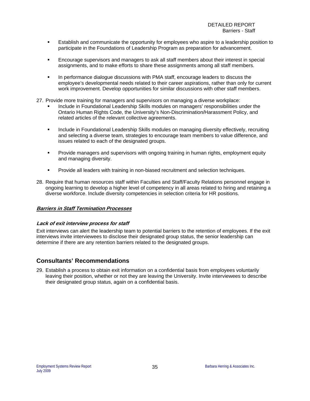- **E** Establish and communicate the opportunity for employees who aspire to a leadership position to participate in the Foundations of Leadership Program as preparation for advancement.
- Encourage supervisors and managers to ask all staff members about their interest in special assignments, and to make efforts to share these assignments among all staff members.
- In performance dialogue discussions with PMA staff, encourage leaders to discuss the employee's developmental needs related to their career aspirations, rather than only for current work improvement. Develop opportunities for similar discussions with other staff members.
- 27. Provide more training for managers and supervisors on managing a diverse workplace:
	- Include in Foundational Leadership Skills modules on managers' responsibilities under the Ontario Human Rights Code, the University's Non-Discrimination/Harassment Policy, and related articles of the relevant collective agreements.
	- **Include in Foundational Leadership Skills modules on managing diversity effectively, recruiting Inclusted in Foundational Leadership Scillers** and selecting a diverse team, strategies to encourage team members to value difference, and issues related to each of the designated groups.
	- **Provide managers and supervisors with ongoing training in human rights, employment equity** and managing diversity.
	- **Provide all leaders with training in non-biased recruitment and selection techniques.**
- 28. Require that human resources staff within Faculties and Staff/Faculty Relations personnel engage in ongoing learning to develop a higher level of competency in all areas related to hiring and retaining a diverse workforce. Include diversity competencies in selection criteria for HR positions.

# **Barriers in Staff Termination Processes**

### **Lack of exit interview process for staff**

Exit interviews can alert the leadership team to potential barriers to the retention of employees. If the exit interviews invite interviewees to disclose their designated group status, the senior leadership can determine if there are any retention barriers related to the designated groups.

# **Consultants' Recommendations**

29. Establish a process to obtain exit information on a confidential basis from employees voluntarily leaving their position, whether or not they are leaving the University. Invite interviewees to describe their designated group status, again on a confidential basis.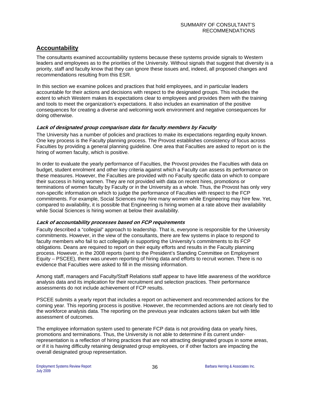# **Accountability**

The consultants examined accountability systems because these systems provide signals to Western leaders and employees as to the priorities of the University. Without signals that suggest that diversity is a priority, staff and faculty know that they can ignore these issues and, indeed, all proposed changes and recommendations resulting from this ESR.

In this section we examine polices and practices that hold employees, and in particular leaders accountable for their actions and decisions with respect to the designated groups. This includes the extent to which Western makes its expectations clear to employees and provides them with the training and tools to meet the organization's expectations. It also includes an examination of the positive consequences for creating a diverse and welcoming work environment and negative consequences for doing otherwise.

# **Lack of designated group comparison data for faculty members by Faculty**

The University has a number of policies and practices to make its expectations regarding equity known. One key process is the Faculty planning process. The Provost establishes consistency of focus across Faculties by providing a general planning guideline. One area that Faculties are asked to report on is the hiring of women faculty, which is positive.

In order to evaluate the yearly performance of Faculties, the Provost provides the Faculties with data on budget, student enrolment and other key criteria against which a Faculty can assess its performance on these measures. However, the Faculties are provided with no Faculty specific data on which to compare their success in hiring women. They are not provided with data on recent hires, promotions or terminations of women faculty by Faculty or in the University as a whole. Thus, the Provost has only very non-specific information on which to judge the performance of Faculties with respect to the FCP commitments. For example, Social Sciences may hire many women while Engineering may hire few. Yet, compared to availability, it is possible that Engineering is hiring women at a rate above their availability while Social Sciences is hiring women at below their availability.

# **Lack of accountability processes based on FCP requirements**

Faculty described a "collegial" approach to leadership. That is, everyone is responsible for the University commitments. However, in the view of the consultants, there are few systems in place to respond to faculty members who fail to act collegially in supporting the University's commitments to its FCP obligations. Deans are required to report on their equity efforts and results in the Faculty planning process. However, in the 2008 reports (sent to the President's Standing Committee on Employment Equity – PSCEE), there was uneven reporting of hiring data and efforts to recruit women. There is no evidence that Faculties were asked to fill in the missing information.

Among staff, managers and Faculty/Staff Relations staff appear to have little awareness of the workforce analysis data and its implication for their recruitment and selection practices. Their performance assessments do not include achievement of FCP results.

PSCEE submits a yearly report that includes a report on achievement and recommended actions for the coming year. This reporting process is positive. However, the recommended actions are not clearly tied to the workforce analysis data. The reporting on the previous year indicates actions taken but with little assessment of outcomes.

The employee information system used to generate FCP data is not providing data on yearly hires, promotions and terminations. Thus, the University is not able to determine if its current underrepresentation is a reflection of hiring practices that are not attracting designated groups in some areas, or if it is having difficulty retaining designated group employees, or if other factors are impacting the overall designated group representation.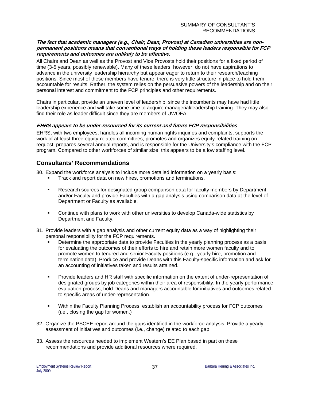# **The fact that academic managers (e.g., Chair, Dean, Provost) at Canadian universities are nonpermanent positions means that conventional ways of holding these leaders responsible for FCP requirements and outcomes are unlikely to be effective.**

All Chairs and Dean as well as the Provost and Vice Provosts hold their positions for a fixed period of time (3-5 years, possibly renewable). Many of these leaders, however, do not have aspirations to advance in the university leadership hierarchy but appear eager to return to their research/teaching positions. Since most of these members have tenure, there is very little structure in place to hold them accountable for results. Rather, the system relies on the persuasive powers of the leadership and on their personal interest and commitment to the FCP principles and other requirements.

Chairs in particular, provide an uneven level of leadership, since the incumbents may have had little leadership experience and will take some time to acquire managerial/leadership training. They may also find their role as leader difficult since they are members of UWOFA.

# **EHRS appears to be under-resourced for its current and future FCP responsibilities**

EHRS, with two employees, handles all incoming human rights inquiries and complaints, supports the work of at least three equity-related committees, promotes and organizes equity-related training on request, prepares several annual reports, and is responsible for the University's compliance with the FCP program. Compared to other workforces of similar size, this appears to be a low staffing level.

# **Consultants' Recommendations**

30. Expand the workforce analysis to include more detailed information on a yearly basis:

- Track and report data on new hires, promotions and terminations.
- Research sources for designated group comparison data for faculty members by Department and/or Faculty and provide Faculties with a gap analysis using comparison data at the level of Department or Faculty as available.
- Continue with plans to work with other universities to develop Canada-wide statistics by Department and Faculty.
- 31. Provide leaders with a gap analysis and other current equity data as a way of highlighting their personal responsibility for the FCP requirements.
	- Determine the appropriate data to provide Faculties in the yearly planning process as a basis for evaluating the outcomes of their efforts to hire and retain more women faculty and to promote women to tenured and senior Faculty positions (e.g., yearly hire, promotion and termination data). Produce and provide Deans with this Faculty-specific information and ask for an accounting of initiatives taken and results attained.
	- Provide leaders and HR staff with specific information on the extent of under-representation of designated groups by job categories within their area of responsibility. In the yearly performance evaluation process, hold Deans and managers accountable for initiatives and outcomes related to specific areas of under-representation.
	- Within the Faculty Planning Process, establish an accountability process for FCP outcomes (i.e., closing the gap for women.)
- 32. Organize the PSCEE report around the gaps identified in the workforce analysis. Provide a yearly assessment of initiatives and outcomes (i.e., change) related to each gap.
- 33. Assess the resources needed to implement Western's EE Plan based in part on these recommendations and provide additional resources where required.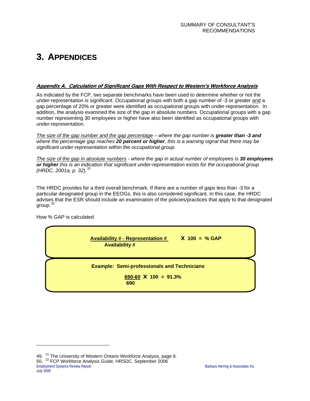# **3. APPENDICES**

# **Appendix A. Calculation of Significant Gaps With Respect to Western's Workforce Analysis**

As indicated by the FCP, two separate benchmarks have been used to determine whether or not the under-representation is significant. Occupational groups with both a gap number of -3 or greater and a gap percentage of 20% or greater were identified as occupational groups with under-representation. In addition, the analysis examined the size of the gap in absolute numbers. Occupational groups with a gap number representing 30 employees or higher have also been identified as occupational groups with under-representation.

*The size of the gap number and the gap percentage – where the gap number is greater than -3 and where the percentage gap reaches 20 percent or higher, this is a warning signal that there may be significant under-representation within the occupational group.* 

*The size of the gap in absolute numbers - where the gap in actual number of employees is 30 employees or higher this is an indication that significant under-representation exists for the occupational group (HRDC, 2001a, p. 32).[31](#page-40-0)*

The HRDC provides for a third overall benchmark. If there are a number of gaps less than -3 for a particular designated group in the EEOGs, this is also considered significant. In this case, the HRDC advises that the ESR should include an examination of the policies/practices that apply to that designated group.[32](#page-40-1)

How % GAP is calculated

l



<span id="page-40-1"></span><span id="page-40-0"></span>Employment Systems Review Report **Barbara Herring & Associates Inc.** Barbara Herring & Associates Inc. 49. <sup>31</sup> The University of Western Ontario Workforce Analysis, page 8. 50. <sup>32</sup> FCP Workforce Analysis Guide, HRSDC, September 2006 July 2009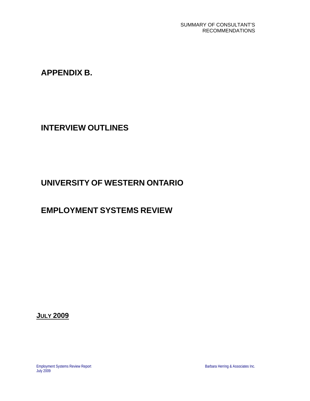**APPENDIX B.** 

**INTERVIEW OUTLINES** 

# **UNIVERSITY OF WESTERN ONTARIO**

# **EMPLOYMENT SYSTEMS REVIEW**

**JULY 2009**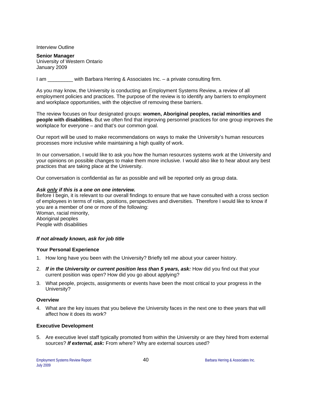Interview Outline

**Senior Manager**  University of Western Ontario January 2009

I am \_\_\_\_\_\_\_\_\_ with Barbara Herring & Associates Inc. – a private consulting firm.

As you may know, the University is conducting an Employment Systems Review, a review of all employment policies and practices. The purpose of the review is to identify any barriers to employment and workplace opportunities, with the objective of removing these barriers.

The review focuses on four designated groups: **women, Aboriginal peoples, racial minorities and people with disabilities.** But we often find that improving personnel practices for one group improves the workplace for everyone – and that's our common goal.

Our report will be used to make recommendations on ways to make the University's human resources processes more inclusive while maintaining a high quality of work.

In our conversation, I would like to ask you how the human resources systems work at the University and your opinions on possible changes to make them more inclusive. I would also like to hear about any best practices that are taking place at the University.

Our conversation is confidential as far as possible and will be reported only as group data.

### *Ask only if this is a one on one interview.*

Before I begin, it is relevant to our overall findings to ensure that we have consulted with a cross section of employees in terms of roles, positions, perspectives and diversities. Therefore I would like to know if you are a member of one or more of the following: Woman, racial minority, Aboriginal peoples

People with disabilities

### *If not already known, ask for job title*

### **Your Personal Experience**

- 1. How long have you been with the University? Briefly tell me about your career history.
- 2. *If in the University or current position less than 5 years, ask:* How did you find out that your current position was open? How did you go about applying?
- 3. What people, projects, assignments or events have been the most critical to your progress in the University?

### **Overview**

4. What are the key issues that you believe the University faces in the next one to thee years that will affect how it does its work?

### **Executive Development**

5. Are executive level staff typically promoted from within the University or are they hired from external sources? *If external, ask:* From where? Why are external sources used?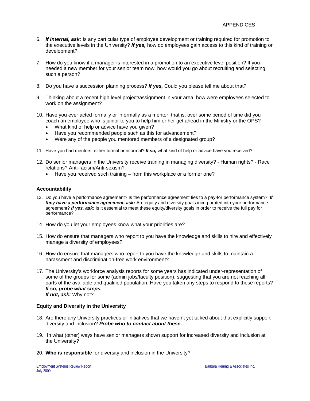- 6. *If internal, ask:* Is any particular type of employee development or training required for promotion to the executive levels in the University? *If yes,* how do employees gain access to this kind of training or development?
- 7. How do you know if a manager is interested in a promotion to an executive level position? If you needed a new member for your senior team now, how would you go about recruiting and selecting such a person?
- 8. Do you have a succession planning process? *If yes,* Could you please tell me about that?
- 9. Thinking about a recent high level project/assignment in your area, how were employees selected to work on the assignment?
- 10. Have you ever acted formally or informally as a mentor; that is, over some period of time did you coach an employee who is junior to you to help him or her get ahead in the Ministry or the OPS?
	- What kind of help or advice have you given?
	- Have you recommended people such as this for advancement?
	- Were any of the people you mentored members of a designated group?
- 11. Have you had mentors, either formal or informal? *If so,* what kind of help or advice have you received?
- 12. Do senior managers in the University receive training in managing diversity? Human rights? Race relations? Anti-racism/Anti-sexism?
	- Have you received such training from this workplace or a former one?

### **Accountability**

- 13. Do you have a performance agreement? Is the performance agreement ties to a pay-for performance system? *If they have a performance agreement, ask:* Are equity and diversity goals incorporated into your performance agreement? *If yes, ask:* Is it essential to meet these equity/diversity goals in order to receive the full pay for performance?
- 14. How do you let your employees know what your priorities are?
- 15. How do ensure that managers who report to you have the knowledge and skills to hire and effectively manage a diversity of employees?
- 16. How do ensure that managers who report to you have the knowledge and skills to maintain a harassment and discrimination-free work environment?
- 17. The University's workforce analysis reports for some years has indicated under-representation of some of the groups for some (admin jobs/faculty position), suggesting that you are not reaching all parts of the available and qualified population. Have you taken any steps to respond to these reports? *If so***,** *probe what steps. If not, ask:* Why not?

### **Equity and Diversity in the University**

- 18. Are there any University practices or initiatives that we haven't yet talked about that explicitly support diversity and inclusion? *Probe who to contact about these.*
- 19. In what (other) ways have senior managers shown support for increased diversity and inclusion at the University?
- 20. **Who is responsible** for diversity and inclusion in the University?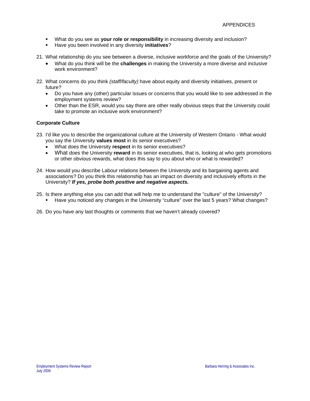- What do you see as **your role or responsibility** in increasing diversity and inclusion?
- Have you been involved in any diversity **initiatives**?
- 21. What relationship do you see between a diverse, inclusive workforce and the goals of the University?
	- What do you think will be the **challenges** in making the University a more diverse and inclusive work environment?
- 22. What concerns do you think *(staff/faculty)* have about equity and diversity initiatives, present or future?
	- Do you have any (other) particular issues or concerns that you would like to see addressed in the employment systems review?
	- Other than the ESR, would you say there are other really obvious steps that the University could take to promote an inclusive work environment?

# **Corporate Culture**

- 23. I'd like you to describe the organizational culture at the University of Western Ontario What would you say the University **values most** in its senior executives?
	- What does the University **respect** in its senior executives?
	- What does the University **reward** in its senior executives, that is, looking at who gets promotions or other obvious rewards, what does this say to you about who or what is rewarded?
- 24. How would you describe Labour relations between the University and its bargaining agents and associations? Do you think this relationship has an impact on diversity and inclusively efforts in the University? *If yes, probe both positive and negative aspects.*
- 25. Is there anything else you can add that will help me to understand the "culture" of the University?
	- Have you noticed any changes in the University "culture" over the last 5 years? What changes?
- 26. Do you have any last thoughts or comments that we haven't already covered?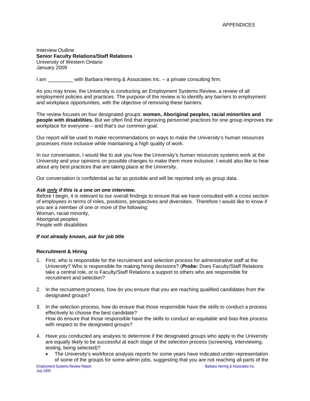Interview Outline **Senior Faculty Relations/Staff Relations**  University of Western Ontario January 2009

I am \_\_\_\_\_\_\_\_\_ with Barbara Herring & Associates Inc. – a private consulting firm.

As you may know, the University is conducting an Employment Systems Review, a review of all employment policies and practices. The purpose of the review is to identify any barriers to employment and workplace opportunities, with the objective of removing these barriers.

The review focuses on four designated groups: **women, Aboriginal peoples, racial minorities and people with disabilities.** But we often find that improving personnel practices for one group improves the workplace for everyone – and that's our common goal.

Our report will be used to make recommendations on ways to make the University's human resources processes more inclusive while maintaining a high quality of work.

In our conversation, I would like to ask you how the University's human resources systems work at the University and your opinions on possible changes to make them more inclusive. I would also like to hear about any best practices that are taking place at the University.

Our conversation is confidential as far as possible and will be reported only as group data.

### *Ask only if this is a one on one interview.*

Before I begin, it is relevant to our overall findings to ensure that we have consulted with a cross section of employees in terms of roles, positions, perspectives and diversities. Therefore I would like to know if you are a member of one or more of the following: Woman, racial minority,

Aboriginal peoples People with disabilities

### *If not already known, ask for job title*

### **Recruitment & Hiring**

- 1. First, who is responsible for the recruitment and selection process for administrative staff at the University? Who is responsible for making hiring decisions? (*Probe:* Does Faculty/Staff Relations take a central role, or is Faculty/Staff Relations a support to others who are responsible for recruitment and selection?
- 2. In the recruitment process, how do you ensure that you are reaching qualified candidates from the designated groups?
- 3. In the selection process, how do ensure that those responsible have the skills to conduct a process effectively to choose the best candidate? How do ensure that those responsible have the skills to conduct an equitable and bias-free process with respect to the designated groups?
- 4. Have you conducted any analysis to determine if the designated groups who apply to the University are equally likely to be successful at each stage of the selection process (screening, interviewing, testing, being selected)?
	- The University's workforce analysis reports for some years have indicated under-representation of some of the groups for some admin jobs, suggesting that you are not reaching all parts of the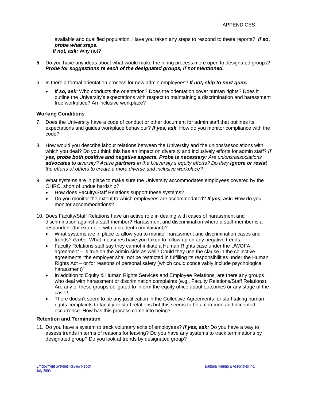available and qualified population. Have you taken any steps to respond to these reports? *If so***,** *probe what steps. If not, ask:* Why not?

- **5.** Do you have any ideas about what would make the hiring process more open to designated groups? *Probe for suggestions re each of the designated groups, if not mentioned.*
- 6. Is there a formal orientation process for new admin employees? *If not, skip to next quex.*
	- *If so, ask:* Who conducts the orientation? Does the orientation cover human rights? Does it outline the University's expectations with respect to maintaining a discrimination and harassment free workplace? An inclusive workplace?

# **Working Conditions**

- 7. Does the University have a code of conduct or other document for admin staff that outlines its expectations and guides workplace behaviour? *If yes, ask* How do you monitor compliance with the code?
- 8. How would you describe labour relations between the University and the unions/associations with which you deal? Do you think this has an impact on diversity and inclusively efforts for admin staff? *If yes, probe both positive and negative aspects. Probe is necessary: Are unions/associations advocates to diversity? Active partners in the University's equity efforts? Do they ignore or resist the efforts of others to create a more diverse and inclusive workplace?*
- 9. What systems are in place to make sure the University accommodates employees covered by the OHRC, short of undue hardship?
	- How does Faculty/Staff Relations support these systems?
	- Do you monitor the extent to which employees are accommodated? *If yes, ask:* How do you monitor accommodations?
- 10. Does Faculty/Staff Relations have an active role in dealing with cases of harassment and discrimination against a staff member? Harassment and discrimination where a staff member is a respondent (for example, with a student complainant)?
	- What systems are in place to allow you to monitor harassment and discrimination cases and trends? *Probe:* What measures have you taken to follow up on any negative trends.
	- Faculty Relations staff say they cannot initiate a Human Rights case under the UWOFA agreement – is true on the admin side as well? Could they use the clause in the collective agreements "the employer shall not be restricted in fulfilling its responsibilities under the Human Rights Act – or for reasons of personal safety (which could conceivably include psychological harassment)"
	- In addition to Equity & Human Rights Services and Employee Relations, are there any groups who deal with harassment or discrimination complaints (e.g., Faculty Relations/Staff Relations). Are any of these groups obligated to inform the equity office about outcomes or any stage of the case?
	- There doesn't seem to be any justification in the Collective Agreements for staff taking human rights complaints to faculty or staff relations but this seems to be a common and accepted occurrence. How has this process come into being?

### **Retention and Termination**

11. Do you have a system to track voluntary exits of employees? *If yes, ask:* Do you have a way to assess trends in terms of reasons for leaving? Do you have any systems to track terminations by designated group? Do you look at trends by designated group?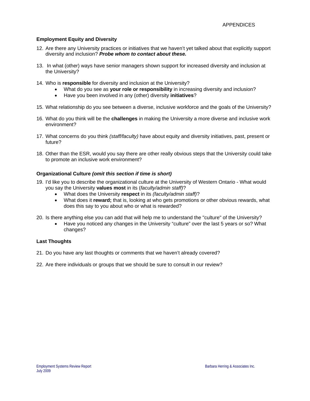# **Employment Equity and Diversity**

- 12. Are there any University practices or initiatives that we haven't yet talked about that explicitly support diversity and inclusion? *Probe whom to contact about these.*
- 13. In what (other) ways have senior managers shown support for increased diversity and inclusion at the University?
- 14. Who is **responsible** for diversity and inclusion at the University?
	- What do you see as **your role or responsibility** in increasing diversity and inclusion?
	- Have you been involved in any (other) diversity **initiatives**?
- 15. What relationship do you see between a diverse, inclusive workforce and the goals of the University?
- 16. What do you think will be the **challenges** in making the University a more diverse and inclusive work environment?
- 17. What concerns do you think *(staff/faculty)* have about equity and diversity initiatives, past, present or future?
- 18. Other than the ESR, would you say there are other really obvious steps that the University could take to promote an inclusive work environment?

# **Organizational Culture** *(omit this section if time is short)*

- 19. I'd like you to describe the organizational culture at the University of Western Ontario What would you say the University **values most** in its (*faculty/admin staff)*?
	- What does the University **respect** in its *(faculty/admin staff)*?
	- What does it **reward;** that is, looking at who gets promotions or other obvious rewards, what does this say to you about who or what is rewarded?
- 20. Is there anything else you can add that will help me to understand the "culture" of the University?
	- Have you noticed any changes in the University "culture" over the last 5 years or so? What changes?

# **Last Thoughts**

- 21. Do you have any last thoughts or comments that we haven't already covered?
- 22. Are there individuals or groups that we should be sure to consult in our review?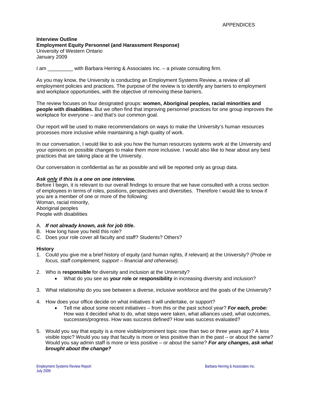### **Interview Outline Employment Equity Personnel (and Harassment Response)**  University of Western Ontario January 2009

I am **Example 2** with Barbara Herring & Associates Inc. – a private consulting firm.

As you may know, the University is conducting an Employment Systems Review, a review of all employment policies and practices. The purpose of the review is to identify any barriers to employment and workplace opportunities, with the objective of removing these barriers.

The review focuses on four designated groups: **women, Aboriginal peoples, racial minorities and people with disabilities.** But we often find that improving personnel practices for one group improves the workplace for everyone – and that's our common goal.

Our report will be used to make recommendations on ways to make the University's human resources processes more inclusive while maintaining a high quality of work.

In our conversation, I would like to ask you how the human resources systems work at the University and your opinions on possible changes to make them more inclusive. I would also like to hear about any best practices that are taking place at the University.

Our conversation is confidential as far as possible and will be reported only as group data.

### *Ask only if this is a one on one interview.*

Before I begin, it is relevant to our overall findings to ensure that we have consulted with a cross section of employees in terms of roles, positions, perspectives and diversities. Therefore I would like to know if you are a member of one or more of the following:

Woman, racial minority, Aboriginal peoples People with disabilities

- A. *If not already known, ask for job title***.**
- B. How long have you held this role?
- C. Does your role cover all faculty and staff? Students? Others?

### **History**

- 1. Could you give me a brief history of equity (and human rights, if relevant) at the University? (*Probe re focus, staff complement, support – financial and otherwise).*
- 2. Who is **responsible** for diversity and inclusion at the University?
	- What do you see as **your role or responsibility** in increasing diversity and inclusion?
- 3. What relationship do you see between a diverse, inclusive workforce and the goals of the University?
- 4. How does your office decide on what initiatives it will undertake, or support?
	- Tell me about some recent initiatives from this or the past school year? *For each, probe:*  How was it decided what to do, what steps were taken, what alliances used, what outcomes, successes/progress. How was success defined? How was success evaluated?
- 5. Would you say that equity is a more visible/prominent topic now than two or three years ago? A less visible topic? Would you say that faculty is more or less positive than in the past – or about the same? Would you say admin staff is more or less positive – or about the same? *For any changes, ask what brought about the change?*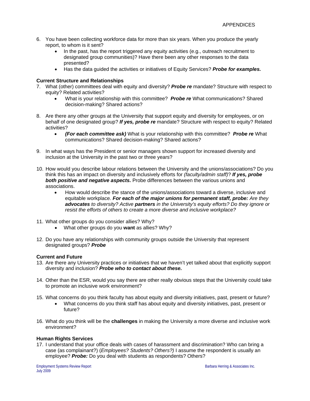- 6. You have been collecting workforce data for more than six years. When you produce the yearly report, to whom is it sent?
	- In the past, has the report triggered any equity activities (e.g., outreach recruitment to designated group communities)? Have there been any other responses to the data presented?
	- Has the data guided the activities or initiatives of Equity Services? *Probe for examples.*

# **Current Structure and Relationships**

- 7. What (other) committees deal with equity and diversity? *Probe re* mandate? Structure with respect to equity? Related activities?
	- What is your relationship with this committee? *Probe re* What communications? Shared decision-making? Shared actions?
- 8. Are there any other groups at the University that support equity and diversity for employees, or on behalf of one designated group? *If yes, probe re* mandate? Structure with respect to equity? Related activities?
	- *(For each committee ask)* What is your relationship with this committee? *Probe re* What communications? Shared decision-making? Shared actions?
- 9. In what ways has the President or senior managers shown support for increased diversity and inclusion at the University in the past two or three years?
- 10. How would you describe labour relations between the University and the unions/associations? Do you think this has an impact on diversity and inclusively efforts for *(faculty/admin staff)*? *If yes, probe both positive and negative aspects.* Probe differences between the various unions and associations.
	- How would describe the stance of the unions/associations toward a diverse, inclusive and equitable workplace. *For each of the major unions for permanent staff, probe: Are they advocates to diversity? Active partners in the University's equity efforts? Do they ignore or resist the efforts of others to create a more diverse and inclusive workplace?*
- 11. What other groups do you consider allies? Why?
	- What other groups do you **want** as allies? Why?
- 12. Do you have any relationships with community groups outside the University that represent designated groups? *Probe*

### **Current and Future**

- 13. Are there any University practices or initiatives that we haven't yet talked about that explicitly support diversity and inclusion? *Probe who to contact about these.*
- 14. Other than the ESR, would you say there are other really obvious steps that the University could take to promote an inclusive work environment?
- 15. What concerns do you think faculty has about equity and diversity initiatives, past, present or future?
	- What concerns do you think staff has about equity and diversity initiatives, past, present or future?
- 16. What do you think will be the **challenges** in making the University a more diverse and inclusive work environment?

### **Human Rights Services**

17. I understand that your office deals with cases of harassment and discrimination? Who can bring a case (as complainant?) (*Employees? Students? Others?)* I assume the respondent is usually an employee? *Probe:* Do you deal with students as respondents? Others?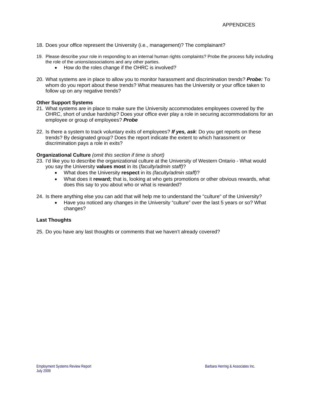- 18. Does your office represent the University (i.e., management)? The complainant?
- 19. Please describe your role in responding to an internal human rights complaints? Probe the process fully including the role of the unions/associations and any other parties.
	- How do the roles change if the OHRC is involved?
- 20. What systems are in place to allow you to monitor harassment and discrimination trends? *Probe:* To whom do you report about these trends? What measures has the University or your office taken to follow up on any negative trends?

# **Other Support Systems**

- 21. What systems are in place to make sure the University accommodates employees covered by the OHRC, short of undue hardship? Does your office ever play a role in securing accommodations for an employee or group of employees? *Probe*
- 22. Is there a system to track voluntary exits of employees? *If yes, ask*: Do you get reports on these trends? By designated group? Does the report indicate the extent to which harassment or discrimination pays a role in exits?

# **Organizational Culture** *(omit this section if time is short)*

- 23. I'd like you to describe the organizational culture at the University of Western Ontario What would you say the University **values most** in its (*faculty/admin staff)*?
	- What does the University **respect** in its *(faculty/admin staff)*?
	- What does it **reward;** that is, looking at who gets promotions or other obvious rewards, what does this say to you about who or what is rewarded?

24. Is there anything else you can add that will help me to understand the "culture" of the University?

• Have you noticed any changes in the University "culture" over the last 5 years or so? What changes?

# **Last Thoughts**

25. Do you have any last thoughts or comments that we haven't already covered?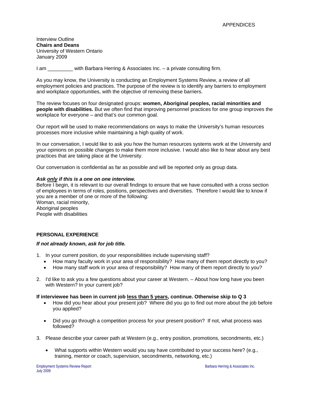Interview Outline **Chairs and Deans**  University of Western Ontario January 2009

I am **Example 2** with Barbara Herring & Associates Inc. – a private consulting firm.

As you may know, the University is conducting an Employment Systems Review, a review of all employment policies and practices. The purpose of the review is to identify any barriers to employment and workplace opportunities, with the objective of removing these barriers.

The review focuses on four designated groups: **women, Aboriginal peoples, racial minorities and people with disabilities.** But we often find that improving personnel practices for one group improves the workplace for everyone – and that's our common goal.

Our report will be used to make recommendations on ways to make the University's human resources processes more inclusive while maintaining a high quality of work.

In our conversation, I would like to ask you how the human resources systems work at the University and your opinions on possible changes to make them more inclusive. I would also like to hear about any best practices that are taking place at the University.

Our conversation is confidential as far as possible and will be reported only as group data.

### *Ask only if this is a one on one interview.*

Before I begin, it is relevant to our overall findings to ensure that we have consulted with a cross section of employees in terms of roles, positions, perspectives and diversities. Therefore I would like to know if you are a member of one or more of the following:

Woman, racial minority, Aboriginal peoples People with disabilities

### **PERSONAL EXPERIENCE**

### *If not already known, ask for job title.*

- 1. In your current position, do your responsibilities include supervising staff?
	- How many faculty work in your area of responsibility? How many of them report directly to you?
	- How many staff work in your area of responsibility? How many of them report directly to you?
- 2. I'd like to ask you a few questions about your career at Western. About how long have you been with Western? In your current job?

#### **If interviewee has been in current job less than 5 years, continue. Otherwise skip to Q 3**

- How did you hear about your present job? Where did you go to find out more about the job before you applied?
- Did you go through a competition process for your present position? If not, what process was followed?
- 3. Please describe your career path at Western (e.g., entry position, promotions, secondments, etc.)
	- What supports within Western would you say have contributed to your success here? (e.g., training, mentor or coach, supervision, secondments, networking, etc.)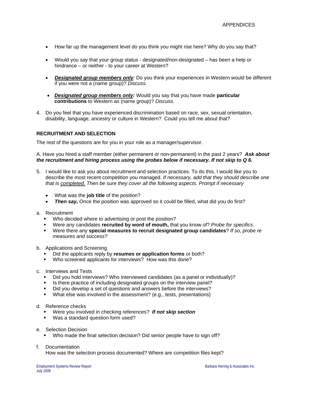- How far up the management level do you think you might rise here? Why do you say that?
- Would you say that your group status designated/non-designated has been a help or hindrance – or neither - to your career at Western?
- *Designated group members only:* Do you think your experiences in Western would be different if you were not a (name group)? *Discuss.*
- *Designated group members only:* Would you say that you have made **particular contributions** to Western as (name group)? *Discuss.*
- 4. Do you feel that you have experienced discrimination based on race, sex, sexual orientation, disability, language, ancestry or culture in Western? Could you tell me about that?

# **RECRUITMENT AND SELECTION**

The rest of the questions are for you in your role as a manager/supervisor.

A. Have you hired a staff member (either permanent or non-permanent) in the past 2 years? *Ask about the recruitment and hiring process using the probes below if necessary. If not skip to Q 6.* 

- 5. I would like to ask you about recruitment and selection practices. To do this, I would like you to describe the most recent competition you managed. *If necessary, add that they should describe one that is completed. Then be sure they cover all the following aspects. Prompt if necessary*
	- What was the **job title** of the position?
	- **Then say,** Once the position was approved so it could be filled, what did you do first?
- a. Recruitment
	- **Who decided where to advertising or post the position?**
	- Were any candidates **recruited by word of mouth,** that you know of? *Probe for specifics.*
	- Were there any **special measures to recruit designated group candidates**? *If so, probe re measures and success?*
- b. Applications and Screening
	- Did the applicants reply by **resumes or application forms** or both?
	- Who screened applicants for interviews? How was this done?
- c. Interviews and Tests
	- Did you hold interviews? Who interviewed candidates (as a panel or individually)?
	- Is there practice of including designated groups on the interview panel?
	- Did you develop a set of questions and answers before the interviews?
	- What else was involved in the assessment? (e.g., tests, presentations)
- d. Reference checks
	- Were you involved in checking references? *If not skip section*
	- Was a standard question form used?
- e. Selection Decision
	- Who made the final selection decision? Did senior people have to sign off?
- f. Documentation

How was the selection process documented? Where are competition files kept?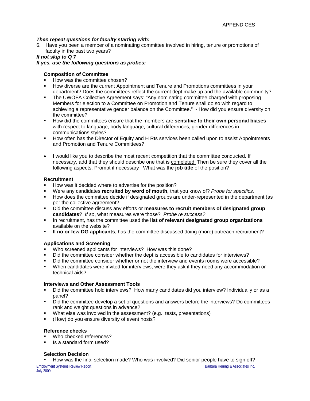# *Then repeat questions for faculty starting with:*

6. Have you been a member of a nominating committee involved in hiring, tenure or promotions of faculty in the past two years?

# *If not skip to Q 7*

*If yes, use the following questions as probes:* 

# **Composition of Committee**

- How was the committee chosen?
- How diverse are the current Appointment and Tenure and Promotions committees in your department? Does the committees reflect the current dept make up and the available community?
- The UWOFA Collective Agreement says: "Any nominating committee charged with proposing Members for election to a Committee on Promotion and Tenure shall do so with regard to achieving a representative gender balance on the Committee." - How did you ensure diversity on the committee?
- How did the committees ensure that the members are **sensitive to their own personal biases** with respect to language, body language, cultural differences, gender differences in communications styles?
- **How often has the Director of Equity and H Rts services been called upon to assist Appointments** and Promotion and Tenure Committees?
- I would like you to describe the most recent competition that the committee conducted. If necessary, add that they should describe one that is completed. Then be sure they cover all the following aspects. Prompt if necessary What was the **job title** of the position?

# **Recruitment**

- How was it decided where to advertise for the position?
- Were any candidates **recruited by word of mouth,** that you know of? *Probe for specifics.*
- How does the committee decide if designated groups are under-represented in the department (as per the collective agreement?
- Did the committee discuss any efforts or **measures to recruit members of designated group candidates**? *If so*, what measures were those? *Probe re success?*
- In recruitment, has the committee used the **list of relevant designated group organizations** available on the website?
- If **no or few DG applicants**, has the committee discussed doing (more) outreach recruitment?

### **Applications and Screening**

- Who screened applicants for interviews? How was this done?
- Did the committee consider whether the dept is accessible to candidates for interviews?
- Did the committee consider whether or not the interview and events rooms were accessible?
- When candidates were invited for interviews, were they ask if they need any accommodation or technical aids?

# **Interviews and Other Assessment Tools**

- Did the committee hold interviews? How many candidates did you interview? Individually or as a panel?
- Did the committee develop a set of questions and answers before the interviews? Do committees rank and weight questions in advance?
- What else was involved in the assessment? (e.g., tests, presentations)
- (How) do you ensure diversity of event hosts?

### **Reference checks**

- Who checked references?
- Is a standard form used?

# **Selection Decision**

How was the final selection made? Who was involved? Did senior people have to sign off?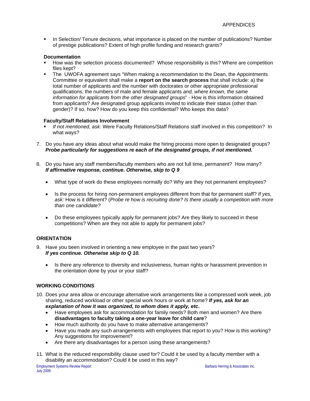**In Selection/ Tenure decisions, what importance is placed on the number of publications? Number** of prestige publications? Extent of high profile funding and research grants?

# **Documentation**

- How was the selection process documented? Whose responsibility is this? Where are competition files kept?
- The UWOFA agreement says "When making a recommendation to the Dean, the Appointments Committee or equivalent shall make a **report on the search process** that shall include: a) the total number of applicants and the number with doctorates or other appropriate professional qualifications, the numbers of male and female applicants *and, where known, the same information for applicants from the other designated groups*" - How is this information obtained from applicants? Are designated group applicants invited to indicate their status (other than gender)? If so, how? How do you keep this confidential? Who keeps this data?

# **Faculty/Staff Relations Involvement**

- *If not mentioned, ask:* Were Faculty Relations/Staff Relations staff involved in this competition? In what ways?
- 7. Do you have any ideas about what would make the hiring process more open to designated groups? *Probe particularly for suggestions re each of the designated groups, if not mentioned.*
- 8. Do you have any staff members/faculty members who are not full time, permanent? How many? *If affirmative response, continue. Otherwise, skip to Q 9*
	- What type of work do these employees normally do? Why are they not permanent employees?
	- Is the process for hiring non-permanent employees different from that for permanent staff? *If yes, ask:* How is it different? (*Probe re how is recruiting done? Is there usually a competition with more than one candidate?*
	- Do these employees typically apply for permanent jobs? Are they likely to succeed in these competitions? When are they not able to apply for permanent jobs?

# **ORIENTATION**

- 9. Have you been involved in orienting a new employee in the past two years? *If yes continue. Otherwise skip to Q 10.*
	- Is there any reference to diversity and inclusiveness, human rights or harassment prevention in the orientation done by your or your staff?

# **WORKING CONDITIONS**

- 10. Does your area allow or encourage alternative work arrangements like a compressed work week, job sharing, reduced workload or other special work hours or work at home? *If yes, ask for an explanation of how it was organized, to whom does it apply, etc***.** 
	- Have employees ask for accommodation for family needs? Both men and women? Are there **disadvantages to faculty taking a one-year leave for child care**?
	- How much authority do you have to make alternative arrangements?
	- Have you made any such arrangements with employees that report to you? How is this working? Any suggestions for improvement?
	- Are there any disadvantages for a person using these arrangements?
- 11. What is the reduced responsibility clause used for? Could it be used by a faculty member with a disability an accommodation? Could it be used in this way?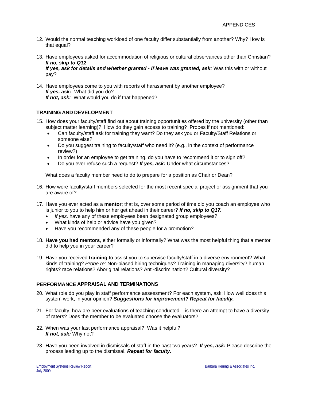- 12. Would the normal teaching workload of one faculty differ substantially from another? Why? How is that equal?
- 13. Have employees asked for accommodation of religious or cultural observances other than Christian? *If no, skip to Q12 If yes, ask for details and whether granted - if leave was granted, ask:* Was this with or without pay?
- 14. Have employees come to you with reports of harassment by another employee? *If yes, ask:* What did you do? *If not, ask:* What would you do if that happened?

# **TRAINING AND DEVELOPMENT**

- 15. How does your faculty/staff find out about training opportunities offered by the university (other than subject matter learning)? How do they gain access to training? Probes if not mentioned:
	- Can faculty/staff ask for training they want? Do they ask you or Faculty/Staff Relations or someone else?
	- Do you suggest training to faculty/staff who need it? (e.g., in the context of performance review?)
	- In order for an employee to get training, do you have to recommend it or to sign off?
	- Do you ever refuse such a request? *If yes, ask:* Under what circumstances?

What does a faculty member need to do to prepare for a position as Chair or Dean?

- 16. How were faculty/staff members selected for the most recent special project or assignment that you are aware of?
- 17. Have you ever acted as a **mentor**; that is, over some period of time did you coach an employee who is junior to you to help him or her get ahead in their career? *If no, skip to Q17.*
	- *If yes,* have any of these employees been designated group employees?
	- What kinds of help or advice have you given?
	- Have you recommended any of these people for a promotion?
- 18. **Have you had mentors**, either formally or informally? What was the most helpful thing that a mentor did to help you in your career?
- 19. Have you received **training** to assist you to supervise faculty/staff in a diverse environment? What kinds of training? *Probe re:* Non-biased hiring techniques? Training in managing diversity? human rights? race relations? Aboriginal relations? Anti-discrimination? Cultural diversity?

# **PERFORMANCE APPRAISAL AND TERMINATIONS**

- 20. What role do you play in staff performance assessment? For each system, ask: How well does this system work, in your opinion? *Suggestions for improvement? Repeat for faculty.*
- 21. For faculty, how are peer evaluations of teaching conducted is there an attempt to have a diversity of raters? Does the member to be evaluated choose the evaluators?
- 22. When was your last performance appraisal? Was it helpful? *If not, ask:* Why not?
- 23. Have you been involved in dismissals of staff in the past two years? *If yes, ask:* Please describe the process leading up to the dismissal. *Repeat for faculty.*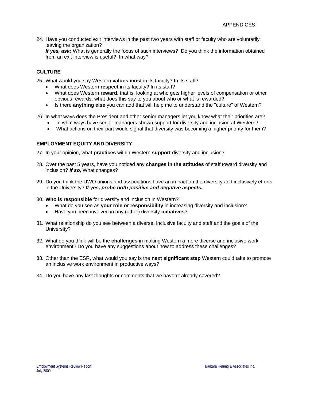24. Have you conducted exit interviews in the past two years with staff or faculty who are voluntarily leaving the organization?

*If yes, ask:* What is generally the focus of such interviews? Do you think the information obtained from an exit interview is useful? In what way?

# **CULTURE**

25. What would you say Western **values most** in its faculty? In its staff?

- What does Western **respect** in its faculty? In its staff?
- What does Western **reward**, that is, looking at who gets higher levels of compensation or other obvious rewards, what does this say to you about who or what is rewarded?
- Is there **anything else** you can add that will help me to understand the "culture" of Western?
- 26. In what ways does the President and other senior managers let you know what their priorities are?
	- In what ways have senior managers shown support for diversity and inclusion at Western?
	- What actions on their part would signal that diversity was becoming a higher priority for them?

# **EMPLOYMENT EQUITY AND DIVERSITY**

- 27. In your opinion, what **practices** within Western **support** diversity and inclusion?
- 28. Over the past 5 years, have you noticed any **changes in the attitudes** of staff toward diversity and inclusion? *If so,* What changes?
- 29. Do you think the UWO unions and associations have an impact on the diversity and inclusively efforts in the University? *If yes, probe both positive and negative aspects.*
- 30. **Who is responsible** for diversity and inclusion in Western?
	- What do you see as **your role or responsibility** in increasing diversity and inclusion?
	- Have you been involved in any (other) diversity **initiatives**?
- 31. What relationship do you see between a diverse, inclusive faculty and staff and the goals of the University?
- 32. What do you think will be the **challenges** in making Western a more diverse and inclusive work environment? Do you have any suggestions about how to address these challenges?
- 33. Other than the ESR, what would you say is the **next significant step** Western could take to promote an inclusive work environment in productive ways?
- 34. Do you have any last thoughts or comments that we haven't already covered?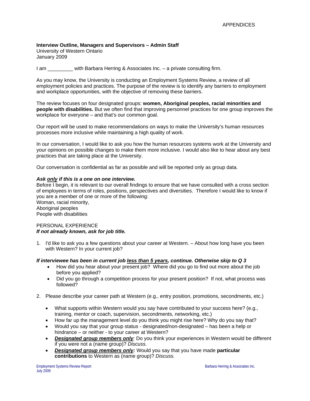# **Interview Outline, Managers and Supervisors – Admin Staff**

University of Western Ontario January 2009

I am **Example 2** with Barbara Herring & Associates Inc. – a private consulting firm.

As you may know, the University is conducting an Employment Systems Review, a review of all employment policies and practices. The purpose of the review is to identify any barriers to employment and workplace opportunities, with the objective of removing these barriers.

The review focuses on four designated groups: **women, Aboriginal peoples, racial minorities and people with disabilities.** But we often find that improving personnel practices for one group improves the workplace for everyone – and that's our common goal.

Our report will be used to make recommendations on ways to make the University's human resources processes more inclusive while maintaining a high quality of work.

In our conversation, I would like to ask you how the human resources systems work at the University and your opinions on possible changes to make them more inclusive. I would also like to hear about any best practices that are taking place at the University.

Our conversation is confidential as far as possible and will be reported only as group data.

### *Ask only if this is a one on one interview.*

Before I begin, it is relevant to our overall findings to ensure that we have consulted with a cross section of employees in terms of roles, positions, perspectives and diversities. Therefore I would like to know if you are a member of one or more of the following:

Woman, racial minority, Aboriginal peoples People with disabilities

### PERSONAL EXPERIENCE *If not already known, ask for job title.*

1. I'd like to ask you a few questions about your career at Western. – About how long have you been with Western? In your current job?

### *If interviewee has been in current job less than 5 years, continue. Otherwise skip to Q 3*

- How did you hear about your present job? Where did you go to find out more about the job before you applied?
- Did you go through a competition process for your present position? If not, what process was followed?
- 2. Please describe your career path at Western (e.g., entry position, promotions, secondments, etc.)
	- What supports within Western would you say have contributed to your success here? (e.g., training, mentor or coach, supervision, secondments, networking, etc.)
	- How far up the management level do you think you might rise here? Why do you say that?
	- Would you say that your group status designated/non-designated has been a help or hindrance – or neither - to your career at Western?
	- *Designated group members only:* Do you think your experiences in Western would be different if you were not a (name group)? *Discuss.*
	- *Designated group members only:* Would you say that you have made **particular contributions** to Western as (name group)? *Discuss.*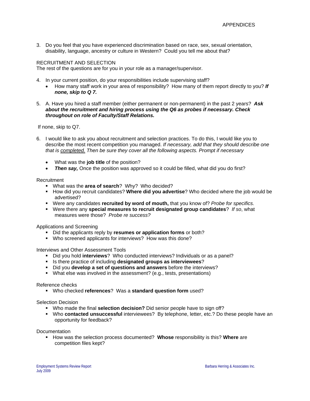3. Do you feel that you have experienced discrimination based on race, sex, sexual orientation, disability, language, ancestry or culture in Western? Could you tell me about that?

### RECRUITMENT AND SELECTION

The rest of the questions are for you in your role as a manager/supervisor.

- 4. In your current position, do your responsibilities include supervising staff?
	- How many staff work in your area of responsibility? How many of them report directly to you? *If none, skip to Q 7.*
- 5. A. Have you hired a staff member (either permanent or non-permanent) in the past 2 years? *Ask about the recruitment and hiring process using the Q6 as probes if necessary. Check throughout on role of Faculty/Staff Relations.*

If none, skip to Q7.

- 6. I would like to ask you about recruitment and selection practices. To do this, I would like you to describe the most recent competition you managed. *If necessary, add that they should describe one that is completed. Then be sure they cover all the following aspects. Prompt if necessary*
	- What was the **job title** of the position?
	- *Then say,* Once the position was approved so it could be filled, what did you do first?

### Recruitment

- What was the **area of search**? Why? Who decided?
- **How did you recruit candidates? Where did you advertise?** Who decided where the job would be advertised?
- Were any candidates **recruited by word of mouth,** that you know of? *Probe for specifics.*
- Were there any **special measures to recruit designated group candidates**? *If so*, what measures were those? *Probe re success?*

Applications and Screening

- Did the applicants reply by **resumes or application forms** or both?
- Who screened applicants for interviews? How was this done?

Interviews and Other Assessment Tools

- Did you hold **interviews**? Who conducted interviews? Individuals or as a panel?
- Is there practice of including **designated groups as interviewees**?
- Did you **develop a set of questions and answers** before the interviews?
- What else was involved in the assessment? (e.g., tests, presentations)

### Reference checks

Who checked **references**? Was a **standard question form** used?

### Selection Decision

- Who made the final **selection decision?** Did senior people have to sign off?
- Who **contacted unsuccessful** interviewees? By telephone, letter, etc.? Do these people have an opportunity for feedback?

Documentation

**How was the selection process documented? Whose responsibility is this? Where are** competition files kept?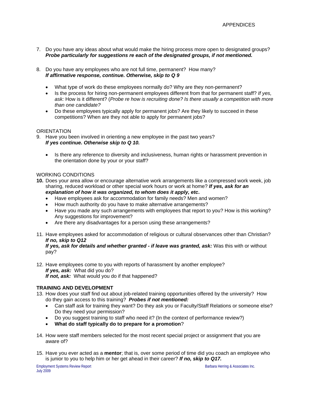- 7. Do you have any ideas about what would make the hiring process more open to designated groups? *Probe particularly for suggestions re each of the designated groups, if not mentioned.*
- 8. Do you have any employees who are not full time, permanent? How many? *If affirmative response, continue. Otherwise, skip to Q 9*
	- What type of work do these employees normally do? Why are they non-permanent?
	- Is the process for hiring non-permanent employees different from that for permanent staff? *If yes, ask:* How is it different? (*Probe re how is recruiting done? Is there usually a competition with more than one candidate?*
	- Do these employees typically apply for permanent jobs? Are they likely to succeed in these competitions? When are they not able to apply for permanent jobs?

# **ORIENTATION**

- 9. Have you been involved in orienting a new employee in the past two years? *If yes continue. Otherwise skip to Q 10.*
	- Is there any reference to diversity and inclusiveness, human rights or harassment prevention in the orientation done by your or your staff?

### WORKING CONDITIONS

- **10.** Does your area allow or encourage alternative work arrangements like a compressed work week, job sharing, reduced workload or other special work hours or work at home? *If yes, ask for an explanation of how it was organized, to whom does it apply, etc***.** 
	- Have employees ask for accommodation for family needs? Men and women?
	- How much authority do you have to make alternative arrangements?
	- Have you made any such arrangements with employees that report to you? How is this working? Any suggestions for improvement?
	- Are there any disadvantages for a person using these arrangements?
- 11. Have employees asked for accommodation of religious or cultural observances other than Christian? *If no, skip to Q12*

*If yes, ask for details and whether granted - if leave was granted, ask:* Was this with or without pay?

12. Have employees come to you with reports of harassment by another employee? *If yes, ask:* What did you do? *If not, ask:* What would you do if that happened?

### **TRAINING AND DEVELOPMENT**

- 13. How does your staff find out about job-related training opportunities offered by the university? How do they gain access to this training? *Probes if not mentioned:*
	- Can staff ask for training they want? Do they ask you or Faculty/Staff Relations or someone else? Do they need your permission?
	- Do you suggest training to staff who need it? (In the context of performance review?)
	- **What do staff typically do to prepare for a promotion**?
- 14. How were staff members selected for the most recent special project or assignment that you are aware of?
- 15. Have you ever acted as a **mentor**; that is, over some period of time did you coach an employee who is junior to you to help him or her get ahead in their career? *If no, skip to Q17.*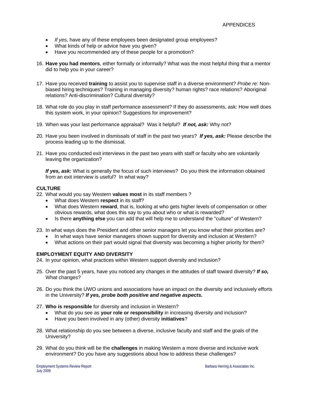- *If yes,* have any of these employees been designated group employees?
- What kinds of help or advice have you given?
- Have you recommended any of these people for a promotion?
- 16. **Have you had mentors**, either formally or informally? What was the most helpful thing that a mentor did to help you in your career?
- 17. Have you received **training** to assist you to supervise staff in a diverse environment? *Probe re:* Nonbiased hiring techniques? Training in managing diversity? human rights? race relations? Aboriginal relations? Anti-discrimination? Cultural diversity?
- 18. What role do you play in staff performance assessment? If they do assessments, ask: How well does this system work, in your opinion? Suggestions for improvement?
- 19. When was your last performance appraisal? Was it helpful? *If not, ask:* Why not?
- 20. Have you been involved in dismissals of staff in the past two years? *If yes, ask:* Please describe the process leading up to the dismissal.
- 21. Have you conducted exit interviews in the past two years with staff or faculty who are voluntarily leaving the organization?

*If yes, ask:* What is generally the focus of such interviews? Do you think the information obtained from an exit interview is useful? In what way?

# **CULTURE**

- 22. What would you say Western **values most** in its staff members ?
	- What does Western **respect** in its staff?
	- What does Western **reward**, that is, looking at who gets higher levels of compensation or other obvious rewards, what does this say to you about who or what is rewarded?
	- Is there **anything else** you can add that will help me to understand the "culture" of Western?
- 23. In what ways does the President and other senior managers let you know what their priorities are?
	- In what ways have senior managers shown support for diversity and inclusion at Western?
	- What actions on their part would signal that diversity was becoming a higher priority for them?

### **EMPLOYMENT EQUITY AND DIVERSITY**

24. In your opinion, what practices within Western support diversity and inclusion?

- 25. Over the past 5 years, have you noticed any changes in the attitudes of staff toward diversity? *If so,*  What changes?
- 26. Do you think the UWO unions and associations have an impact on the diversity and inclusively efforts in the University? *If yes, probe both positive and negative aspects.*
- 27. **Who is responsible** for diversity and inclusion in Western?
	- What do you see as **your role or responsibility** in increasing diversity and inclusion?
	- Have you been involved in any (other) diversity **initiatives**?
- 28. What relationship do you see between a diverse, inclusive faculty and staff and the goals of the University?
- 29. What do you think will be the **challenges** in making Western a more diverse and inclusive work environment? Do you have any suggestions about how to address these challenges?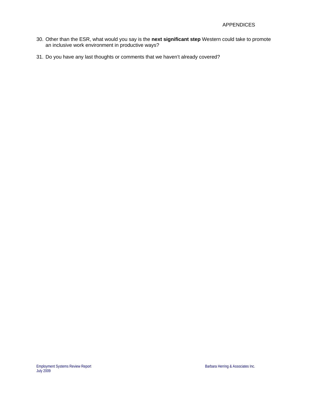- 30. Other than the ESR, what would you say is the **next significant step** Western could take to promote an inclusive work environment in productive ways?
- 31. Do you have any last thoughts or comments that we haven't already covered?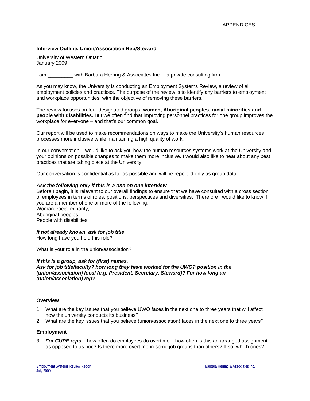### **Interview Outline, Union/Association Rep/Steward**

University of Western Ontario January 2009

I am \_\_\_\_\_\_\_\_\_ with Barbara Herring & Associates Inc. – a private consulting firm.

As you may know, the University is conducting an Employment Systems Review, a review of all employment policies and practices. The purpose of the review is to identify any barriers to employment and workplace opportunities, with the objective of removing these barriers.

The review focuses on four designated groups: **women, Aboriginal peoples, racial minorities and people with disabilities.** But we often find that improving personnel practices for one group improves the workplace for everyone – and that's our common goal.

Our report will be used to make recommendations on ways to make the University's human resources processes more inclusive while maintaining a high quality of work.

In our conversation, I would like to ask you how the human resources systems work at the University and your opinions on possible changes to make them more inclusive. I would also like to hear about any best practices that are taking place at the University.

Our conversation is confidential as far as possible and will be reported only as group data.

### *Ask the following only if this is a one on one interview*

Before I begin, it is relevant to our overall findings to ensure that we have consulted with a cross section of employees in terms of roles, positions, perspectives and diversities. Therefore I would like to know if you are a member of one or more of the following: Woman, racial minority,

Aboriginal peoples People with disabilities

### *If not already known, ask for job title***.**

How long have you held this role?

What is your role in the union/association?

### *If this is a group, ask for (first) names.*

*Ask for job title/faculty? how long they have worked for the UWO? position in the (union/association) local (e.g. President, Secretary, Steward)? For how long an (union/association) rep?*

### **Overview**

- 1. What are the key issues that you believe UWO faces in the next one to three years that will affect how the university conducts its business?
- 2. What are the key issues that you believe (union/association) faces in the next one to three years?

### **Employment**

3. *For CUPE reps* – how often do employees do overtime – how often is this an arranged assignment as opposed to as hoc? Is there more overtime in some job groups than others? If so, which ones?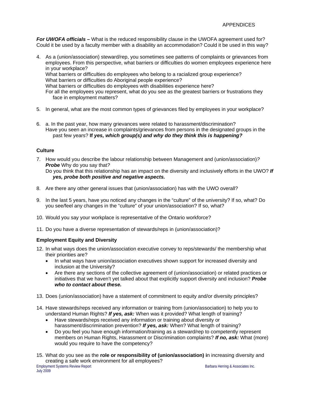*For UWOFA officials –* What is the reduced responsibility clause in the UWOFA agreement used for? Could it be used by a faculty member with a disability an accommodation? Could it be used in this way?

- 4. As a (union/association) steward/rep, you sometimes see patterns of complaints or grievances from employees. From this perspective, what barriers or difficulties do women employees experience here in your workplace? What barriers or difficulties do employees who belong to a racialized group experience? What barriers or difficulties do Aboriginal people experience? What barriers or difficulties do employees with disabilities experience here?
	- For all the employees you represent, what do you see as the greatest barriers or frustrations they face in employment matters?
- 5. In general, what are the most common types of grievances filed by employees in your workplace?
- 6. a. In the past year, how many grievances were related to harassment/discrimination? Have you seen an increase in complaints/grievances from persons in the designated groups in the past few years? **If** *yes, which group(s) and why do they think this is happening?*

# **Culture**

- 7. How would you describe the labour relationship between Management and (union/association)*? Probe* Why do you say that*?*  Do you think that this relationship has an impact on the diversity and inclusively efforts in the UWO? *If yes, probe both positive and negative aspects.*
- 8. Are there any other general issues that (union/association) has with the UWO overall?
- 9. In the last 5 years, have you noticed any changes in the "culture" of the university? If so, what? Do you see/feel any changes in the "culture" of your union/association? If so, what?
- 10. Would you say your workplace is representative of the Ontario workforce?
- 11. Do you have a diverse representation of stewards/reps in (union/association)?

# **Employment Equity and Diversity**

- 12. In what ways does the union/association executive convey to reps/stewards/ the membership what their priorities are?
	- In what ways have union/association executives shown support for increased diversity and inclusion at the University?
	- Are there any sections of the collective agreement of (union/association) or related practices or initiatives that we haven't yet talked about that explicitly support diversity and inclusion? *Probe who to contact about these.*
- 13. Does (union/association) have a statement of commitment to equity and/or diversity principles?
- 14. Have stewards/reps received any information or training from (union/association) to help you to understand Human Rights? *If yes, ask:* When was it provided? What length of training?
	- Have stewards/reps received any information or training about diversity or harassment/discrimination prevention? *If yes, ask:* When? What length of training?
	- Do you feel you have enough information/training as a steward/rep to competently represent members on Human Rights, Harassment or Discrimination complaints? *If no, ask:* What (more) would you require to have the competency?
- 15. What do you see as the **role or responsibility of (union/association) i**n increasing diversity and creating a safe work environment for all employees?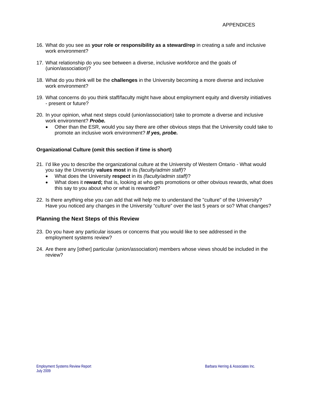- 16. What do you see as **your role or responsibility as a steward/rep** in creating a safe and inclusive work environment?
- 17. What relationship do you see between a diverse, inclusive workforce and the goals of (union/association)?
- 18. What do you think will be the **challenges** in the University becoming a more diverse and inclusive work environment?
- 19. What concerns do you think staff/faculty might have about employment equity and diversity initiatives - present or future?
- 20. In your opinion, what next steps could (union/association) take to promote a diverse and inclusive work environment? *Probe.*
	- Other than the ESR, would you say there are other obvious steps that the University could take to promote an inclusive work environment? *If yes, probe.*

### **Organizational Culture (omit this section if time is short)**

- 21. I'd like you to describe the organizational culture at the University of Western Ontario What would you say the University **values most** in its *(faculty/admin staff)*?
	- What does the University **respect** in its *(faculty/admin staff)*?
	- What does it **reward;** that is, looking at who gets promotions or other obvious rewards, what does this say to you about who or what is rewarded?
- 22. Is there anything else you can add that will help me to understand the "culture" of the University? Have you noticed any changes in the University "culture" over the last 5 years or so? What changes?

# **Planning the Next Steps of this Review**

- 23. Do you have any particular issues or concerns that you would like to see addressed in the employment systems review?
- 24. Are there any [other] particular (union/association) members whose views should be included in the review?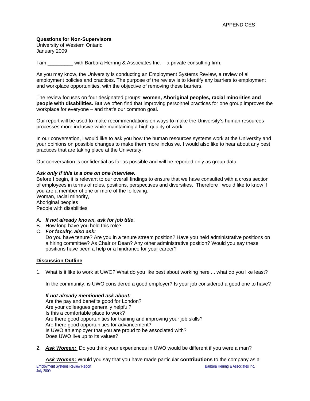# **Questions for Non-Supervisors**

University of Western Ontario January 2009

I am \_\_\_\_\_\_\_\_\_ with Barbara Herring & Associates Inc. – a private consulting firm.

As you may know, the University is conducting an Employment Systems Review, a review of all employment policies and practices. The purpose of the review is to identify any barriers to employment and workplace opportunities, with the objective of removing these barriers.

The review focuses on four designated groups: **women, Aboriginal peoples, racial minorities and people with disabilities.** But we often find that improving personnel practices for one group improves the workplace for everyone – and that's our common goal.

Our report will be used to make recommendations on ways to make the University's human resources processes more inclusive while maintaining a high quality of work.

In our conversation, I would like to ask you how the human resources systems work at the University and your opinions on possible changes to make them more inclusive. I would also like to hear about any best practices that are taking place at the University.

Our conversation is confidential as far as possible and will be reported only as group data.

### *Ask only if this is a one on one interview.*

Before I begin, it is relevant to our overall findings to ensure that we have consulted with a cross section of employees in terms of roles, positions, perspectives and diversities. Therefore I would like to know if you are a member of one or more of the following:

Woman, racial minority, Aboriginal peoples

People with disabilities

- A. *If not already known, ask for job title***.**
- B. How long have you held this role?
- C. *For faculty, also ask:*

Do you have tenure? Are you in a tenure stream position? Have you held administrative positions on a hiring committee? As Chair or Dean? Any other administrative position? Would you say these positions have been a help or a hindrance for your career?

### **Discussion Outline**

1. What is it like to work at UWO? What do you like best about working here ... what do you like least?

In the community, is UWO considered a good employer? Is your job considered a good one to have?

### *If not already mentioned ask about:*

Are the pay and benefits good for London? Are your colleagues generally helpful? Is this a comfortable place to work? Are there good opportunities for training and improving your job skills? Are there good opportunities for advancement? Is UWO an employer that you are proud to be associated with? Does UWO live up to its values?

2. *Ask Women:* Do you think your experiences in UWO would be different if you were a man?

Employment Systems Review Report Barbara Herring & Associates Inc. *Ask Women:* Would you say that you have made particular **contributions** to the company as a July 2009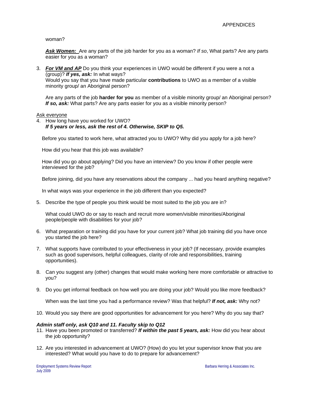### woman?

*Ask Women:* Are any parts of the job harder for you as a woman? *If so*, What parts? Are any parts easier for you as a woman?

3. *For VM and AP* Do you think your experiences in UWO would be different if you were a not a (group)? *If yes, ask:* In what ways? Would you say that you have made particular **contributions** to UWO as a member of a visible minority group/ an Aboriginal person?

Are any parts of the job **harder for you** as member of a visible minority group/ an Aboriginal person? *If so, ask:* What parts? Are any parts easier for you as a visible minority person?

### Ask everyone

4. How long have you worked for UWO? *If 5 years or less, ask the rest of 4. Otherwise, SKIP to Q5.* 

Before you started to work here, what attracted you to UWO? Why did you apply for a job here?

How did you hear that this job was available?

How did you go about applying? Did you have an interview? Do you know if other people were interviewed for the job?

Before joining, did you have any reservations about the company ... had you heard anything negative?

In what ways was your experience in the job different than you expected?

5. Describe the type of people you think would be most suited to the job you are in?

What could UWO do or say to reach and recruit more women/visible minorities/Aboriginal people/people with disabilities for your job?

- 6. What preparation or training did you have for your current job? What job training did you have once you started the job here?
- 7. What supports have contributed to your effectiveness in your job? (If necessary, provide examples such as good supervisors, helpful colleagues, clarity of role and responsibilities, training opportunities).
- 8. Can you suggest any (other) changes that would make working here more comfortable or attractive to you?
- 9. Do you get informal feedback on how well you are doing your job? Would you like more feedback?

When was the last time you had a performance review? Was that helpful? *If not, ask:* Why not?

10. Would you say there are good opportunities for advancement for you here? Why do you say that?

### *Admin staff only, ask Q10 and 11. Faculty skip to Q12*

- 11. Have you been promoted or transferred? *If within the past 5 years, ask:* How did you hear about the job opportunity?
- 12. Are you interested in advancement at UWO? (How) do you let your supervisor know that you are interested? What would you have to do to prepare for advancement?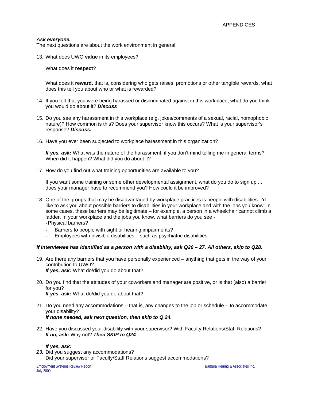# *Ask everyone.*

The next questions are about the work environment in general.

13. What does UWO **value** in its employees?

What does it **respect**?

What does it **reward**, that is, considering who gets raises, promotions or other tangible rewards, what does this tell you about who or what is rewarded?

- 14. If you felt that you were being harassed or discriminated against in this workplace, what do you think you would do about it? *Discuss*
- 15. Do you see any harassment in this workplace (e.g. jokes/comments of a sexual, racial, homophobic nature)? How common is this? Does your supervisor know this occurs? What is your supervisor's response? *Discuss.*
- 16. Have you ever been subjected to workplace harassment in this organization?

*If yes, ask:* What was the nature of the harassment, if you don't mind telling me in general terms? When did it happen? What did you do about it?

17. How do you find out what training opportunities are available to you?

If you want some training or some other developmental assignment, what do you do to sign up ... does your manager have to recommend you? How could it be improved?

- 18. One of the groups that may be disadvantaged by workplace practices is people with disabilities. I'd like to ask you about possible barriers to disabilities in your workplace and with the jobs you know. In some cases, these barriers may be legitimate – for example, a person in a wheelchair cannot climb a ladder. In your workplace and the jobs you know, what barriers do you see - - Physical barriers?
	- Barriers to people with sight or hearing impairments?
	- Employees with invisible disabilities such as psychiatric disabilities.

### *If interviewee has identified as a person with a disability, ask Q20 – 27. All others, skip to Q28.*

- 19. Are there any barriers that you have personally experienced anything that gets in the way of your contribution to UWO? *If yes, ask:* What do/did you do about that?
- 20. Do you find that the attitudes of your coworkers and manager are positive, or is that (also) a barrier for you? *If yes, ask:* What do/did you do about that?
- 21. Do you need any accommodations that is, any changes to the job or schedule to accommodate your disability? *If none needed, ask next question, then skip to Q 24.*
- 22. Have you discussed your disability with your supervisor? With Faculty Relations/Staff Relations? *If no, ask:* Why not? *Then SKIP to Q24*

### *If yes, ask:*

*23.* Did you suggest any accommodations? Did your supervisor or Faculty/Staff Relations suggest accommodations?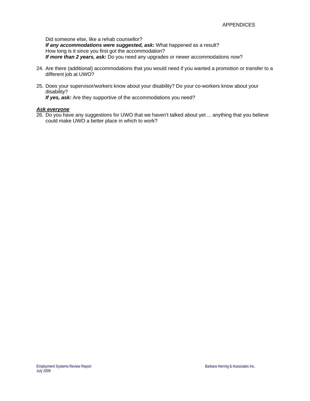Did someone else, like a rehab counsellor? *If any accommodations were suggested, ask:* What happened as a result? How long is it since you first got the accommodation? *If more than 2 years, ask:* Do you need any upgrades or newer accommodations now?

- 24. Are there (additional) accommodations that you would need if you wanted a promotion or transfer to a different job at UWO?
- 25. Does your supervisor/workers know about your disability? Do your co-workers know about your disability?

*If yes, ask:* Are they supportive of the accommodations you need?

### *Ask everyone*

26. Do you have any suggestions for UWO that we haven't talked about yet ... anything that you believe could make UWO a better place in which to work?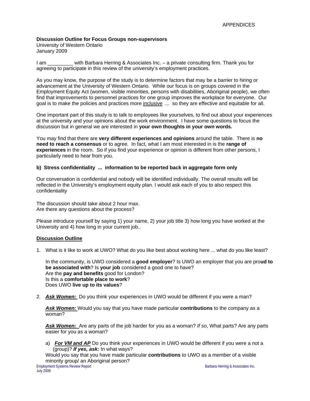# **Discussion Outline for Focus Groups non-supervisors**

University of Western Ontario January 2009

I am \_\_\_\_\_\_\_\_\_ with Barbara Herring & Associates Inc. – a private consulting firm. Thank you for agreeing to participate in this review of the university's employment practices.

As you may know, the purpose of the study is to determine factors that may be a barrier to hiring or advancement at the University of Western Ontario. While our focus is on groups covered in the Employment Equity Act (women, visible minorities, persons with disabilities, Aboriginal people), we often find that improvements to personnel practices for one group improves the workplace for everyone. Our goal is to make the policies and practices more inclusive ... so they are effective and equitable for all.

One important part of this study is to talk to employees like yourselves, to find out about your experiences at the university and your opinions about the work environment. I have some questions to focus the discussion but in general we are interested in **your own thoughts in your own words.**

You may find that there are **very different experiences and opinions** around the table. There is **no need to reach a consensus** or to agree. In fact, what I am most interested in is the **range of experiences** in the room. So if you find your experience or opinion is different from other persons, I particularly need to hear from you.

# **b) Stress confidentiality ... information to be reported back in aggregate form only**

Our conversation is confidential and nobody will be identified individually. The overall results will be reflected in the University's employment equity plan. I would ask each of you to also respect this confidentiality

The discussion should take about 2 hour max. Are there any questions about the process?

Please introduce yourself by saying 1) your name, 2) your job title 3) how long you have worked at the University and 4) how long in your current job..

### **Discussion Outline**

1. What is it like to work at UWO? What do you like best about working here ... what do you like least?

In the community, is UWO considered a **good employer**? Is UWO an employer that you are pro**ud to be associated with**? Is **your job** considered a good one to have? Are the **pay and benefits** good for London? Is this a **comfortable place to work**? Does UWO **live up to its values**?

2. *Ask Women:* Do you think your experiences in UWO would be different if you were a man?

*Ask Women:* Would you say that you have made particular **contributions** to the company as a woman?

*Ask Women:* Are any parts of the job harder for you as a woman? *If so*, What parts? Are any parts easier for you as a woman?

a) *For VM and AP* Do you think your experiences in UWO would be different if you were a not a (group)? *If yes, ask:* In what ways?

Would you say that you have made particular **contributions** to UWO as a member of a visible minority group/ an Aboriginal person?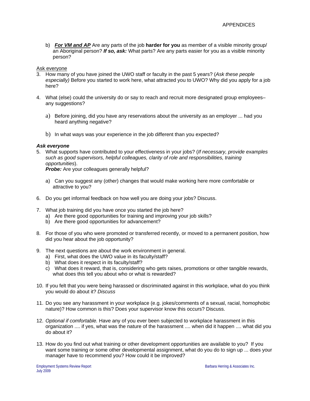b) *For VM and AP* Are any parts of the job **harder for you** as member of a visible minority group/ an Aboriginal person? *If so, ask:* What parts? Are any parts easier for you as a visible minority person?

### Ask everyone

- 3. How many of you have joined the UWO staff or faculty in the past 5 years? (*Ask these people especially)* Before you started to work here, what attracted you to UWO? Why did you apply for a job here?
- 4. What (else) could the university do or say to reach and recruit more designated group employees– any suggestions?
	- a) Before joining, did you have any reservations about the university as an employer ... had you heard anything negative?
	- b) In what ways was your experience in the job different than you expected?

### *Ask everyone*

5. What supports have contributed to your effectiveness in your jobs? (*If necessary, provide examples such as good supervisors, helpful colleagues, clarity of role and responsibilities, training opportunities*).

**Probe:** Are your colleagues generally helpful?

- a) Can you suggest any (other) changes that would make working here more comfortable or attractive to you?
- 6. Do you get informal feedback on how well you are doing your jobs? Discuss.
- 7. What job training did you have once you started the job here?
	- a) Are there good opportunities for training and improving your job skills?
	- b) Are there good opportunities for advancement?
- 8. For those of you who were promoted or transferred recently, or moved to a permanent position, how did you hear about the job opportunity?
- 9. The next questions are about the work environment in general.
	- a) First, what does the UWO value in its faculty/staff?
	- b) What does it respect in its faculty/staff?
	- c) What does it reward, that is, considering who gets raises, promotions or other tangible rewards, what does this tell you about who or what is rewarded?
- 10. If you felt that you were being harassed or discriminated against in this workplace, what do you think you would do about it? *Discuss*
- 11. Do you see any harassment in your workplace (e.g. jokes/comments of a sexual, racial, homophobic nature)? How common is this? Does your supervisor know this occurs? Discuss.
- 12. *Optional if comfortable.* Have any of you ever been subjected to workplace harassment in this organization .... if yes, what was the nature of the harassment .... when did it happen .... what did you do about it?
- 13. How do you find out what training or other development opportunities are available to you? If you want some training or some other developmental assignment, what do you do to sign up ... does your manager have to recommend you? How could it be improved?